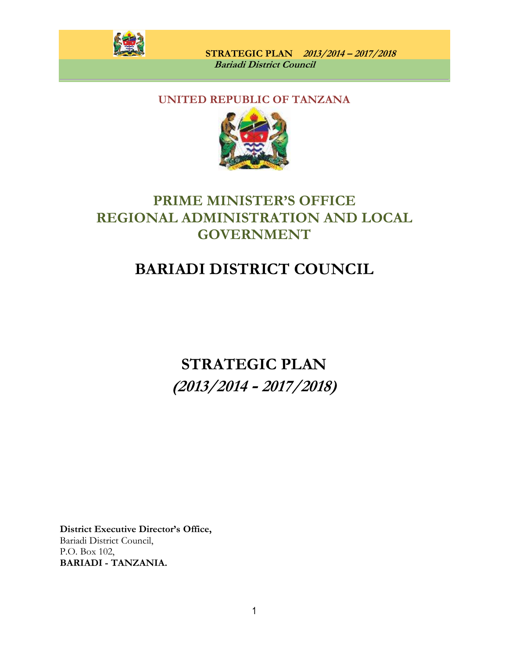

## **UNITED REPUBLIC OF TANZANA**



## **PRIME MINISTER'S OFFICE REGIONAL ADMINISTRATION AND LOCAL GOVERNMENT**

# **BARIADI DISTRICT COUNCIL**

**STRATEGIC PLAN (2013/2014 - 2017/2018)**

**District Executive Director's Office,** Bariadi District Council, P.O. Box 102, **BARIADI - TANZANIA.**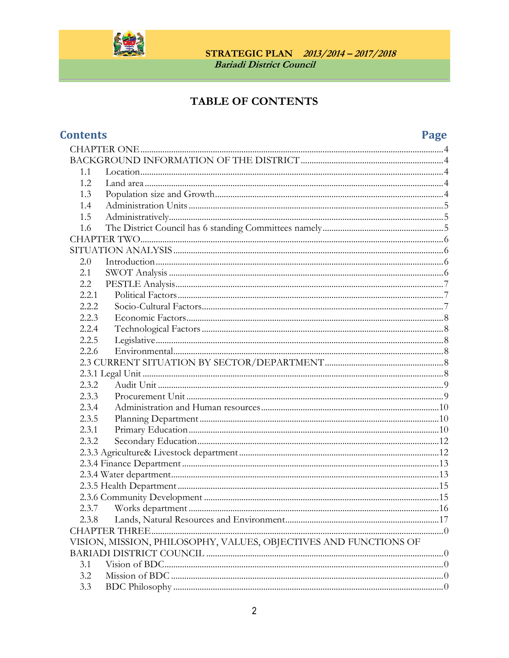

## TABLE OF CONTENTS

## **Contents**

## Page

| 1.1                                                              |  |  |  |  |
|------------------------------------------------------------------|--|--|--|--|
| 1.2.                                                             |  |  |  |  |
| 1.3                                                              |  |  |  |  |
| 1.4                                                              |  |  |  |  |
| 1.5                                                              |  |  |  |  |
| 1.6                                                              |  |  |  |  |
|                                                                  |  |  |  |  |
|                                                                  |  |  |  |  |
| 2.0                                                              |  |  |  |  |
| 2.1                                                              |  |  |  |  |
| 2.2                                                              |  |  |  |  |
| 2.2.1                                                            |  |  |  |  |
| 2.2.2                                                            |  |  |  |  |
| 2.2.3                                                            |  |  |  |  |
| 2.2.4                                                            |  |  |  |  |
| 2.2.5                                                            |  |  |  |  |
| 2.2.6                                                            |  |  |  |  |
|                                                                  |  |  |  |  |
|                                                                  |  |  |  |  |
| 2.3.2                                                            |  |  |  |  |
| 2.3.3                                                            |  |  |  |  |
| 2.3.4                                                            |  |  |  |  |
| 2.3.5                                                            |  |  |  |  |
| 2.3.1                                                            |  |  |  |  |
| 2.3.2                                                            |  |  |  |  |
|                                                                  |  |  |  |  |
|                                                                  |  |  |  |  |
|                                                                  |  |  |  |  |
|                                                                  |  |  |  |  |
|                                                                  |  |  |  |  |
|                                                                  |  |  |  |  |
| 2.3.8                                                            |  |  |  |  |
| <b>CHAPTER THREE.</b>                                            |  |  |  |  |
| VISION, MISSION, PHILOSOPHY, VALUES, OBJECTIVES AND FUNCTIONS OF |  |  |  |  |
|                                                                  |  |  |  |  |
| 3.1                                                              |  |  |  |  |
| 3.2                                                              |  |  |  |  |
| 3.3                                                              |  |  |  |  |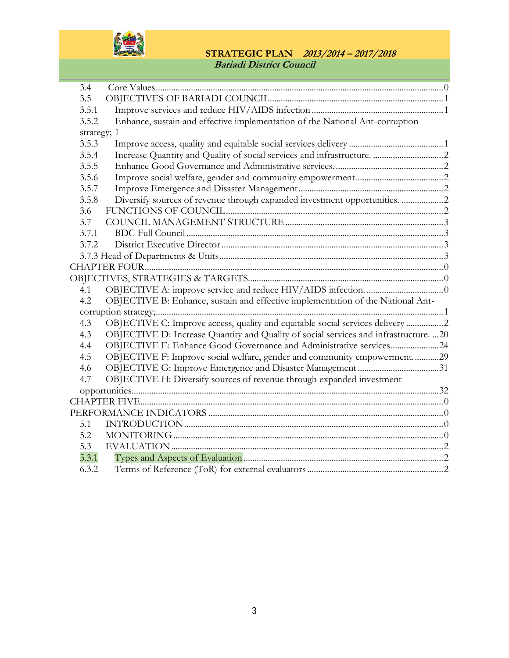

| 3.4         |                                                                                      |
|-------------|--------------------------------------------------------------------------------------|
| 3.5         |                                                                                      |
| 3.5.1       |                                                                                      |
| 3.5.2       | Enhance, sustain and effective implementation of the National Ant-corruption         |
| strategy; 1 |                                                                                      |
| 3.5.3       |                                                                                      |
| 3.5.4       |                                                                                      |
| 3.5.5       |                                                                                      |
| 3.5.6       |                                                                                      |
| 3.5.7       |                                                                                      |
| 3.5.8       | Diversify sources of revenue through expanded investment opportunities. 2            |
| 3.6         |                                                                                      |
| 3.7         |                                                                                      |
| 3.7.1       |                                                                                      |
| 3.7.2       |                                                                                      |
|             |                                                                                      |
|             |                                                                                      |
|             |                                                                                      |
| 4.1         |                                                                                      |
| 4.2         | OBJECTIVE B: Enhance, sustain and effective implementation of the National Ant-      |
|             |                                                                                      |
| 4.3         | OBJECTIVE C: Improve access, quality and equitable social services delivery 2        |
| 4.3         | OBJECTIVE D: Increase Quantity and Quality of social services and infrastructure. 20 |
| 4.4         | OBJECTIVE E: Enhance Good Governance and Administrative services24                   |
| 4.5         | OBJECTIVE F: Improve social welfare, gender and community empowerment29              |
| 4.6         |                                                                                      |
| 4.7         | OBJECTIVE H: Diversify sources of revenue through expanded investment                |
|             |                                                                                      |
|             |                                                                                      |
|             |                                                                                      |
| 5.1         |                                                                                      |
| 5.2         |                                                                                      |
| 5.3         |                                                                                      |
| 5.3.1       |                                                                                      |
| 6.3.2       |                                                                                      |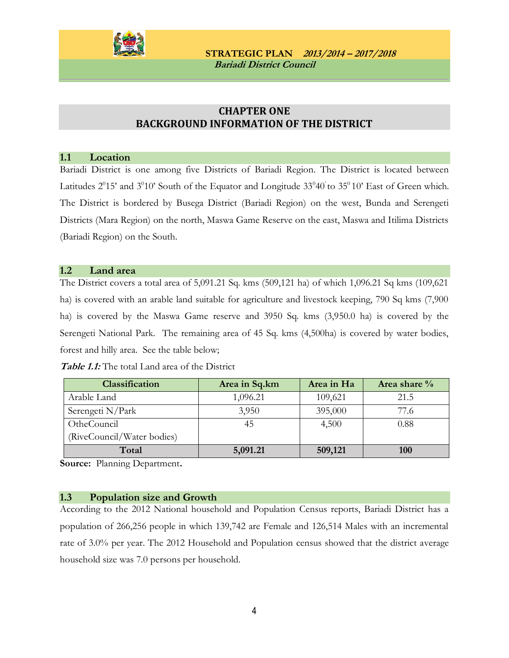

### **CHAPTER ONE BACKGROUND INFORMATION OF THE DISTRICT**

#### <span id="page-3-2"></span><span id="page-3-1"></span><span id="page-3-0"></span>**1.1 Location**

Bariadi District is one among five Districts of Bariadi Region. The District is located between Latitudes  $2^015'$  and  $3^010'$  South of the Equator and Longitude  $33^040'$  to  $35^010'$  East of Green which. The District is bordered by Busega District (Bariadi Region) on the west, Bunda and Serengeti Districts (Mara Region) on the north, Maswa Game Reserve on the east, Maswa and Itilima Districts (Bariadi Region) on the South.

#### <span id="page-3-3"></span>**1.2 Land area**

The District covers a total area of 5,091.21 Sq. kms (509,121 ha) of which 1,096.21 Sq kms (109,621 ha) is covered with an arable land suitable for agriculture and livestock keeping, 790 Sq kms (7,900 ha) is covered by the Maswa Game reserve and 3950 Sq. kms (3,950.0 ha) is covered by the Serengeti National Park. The remaining area of 45 Sq. kms (4,500ha) is covered by water bodies, forest and hilly area. See the table below;

| <b>Table 1.1:</b> The total Land area of the District |  |
|-------------------------------------------------------|--|
|-------------------------------------------------------|--|

| Classification             | Area in Sq.km | Area in Ha | Area share $\%$ |
|----------------------------|---------------|------------|-----------------|
| Arable Land                | 1,096.21      | 109,621    | 21.5            |
| Serengeti N/Park           | 3,950         | 395,000    | 77.6            |
| OtheCouncil                | 45            | 4,500      | 0.88            |
| (RiveCouncil/Water bodies) |               |            |                 |
| Total                      | 5,091.21      | 509,121    | <b>100</b>      |

**Source:** Planning Department**.**

#### <span id="page-3-4"></span>**1.3 Population size and Growth**

According to the 2012 National household and Population Census reports, Bariadi District has a population of 266,256 people in which 139,742 are Female and 126,514 Males with an incremental rate of 3.0% per year. The 2012 Household and Population census showed that the district average household size was 7.0 persons per household.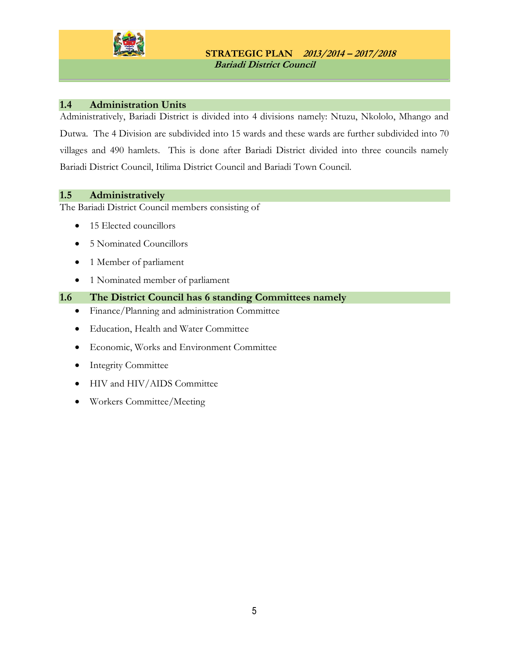

### <span id="page-4-0"></span>**1.4 Administration Units**

Administratively, Bariadi District is divided into 4 divisions namely: Ntuzu, Nkololo, Mhango and Dutwa. The 4 Division are subdivided into 15 wards and these wards are further subdivided into 70 villages and 490 hamlets. This is done after Bariadi District divided into three councils namely Bariadi District Council, Itilima District Council and Bariadi Town Council.

#### <span id="page-4-1"></span>**1.5 Administratively**

The Bariadi District Council members consisting of

- 15 Elected councillors
- 5 Nominated Councillors
- 1 Member of parliament
- 1 Nominated member of parliament

#### <span id="page-4-2"></span>**1.6 The District Council has 6 standing Committees namely**

- Finance/Planning and administration Committee
- Education, Health and Water Committee
- Economic, Works and Environment Committee
- Integrity Committee
- HIV and HIV/AIDS Committee
- Workers Committee/Meeting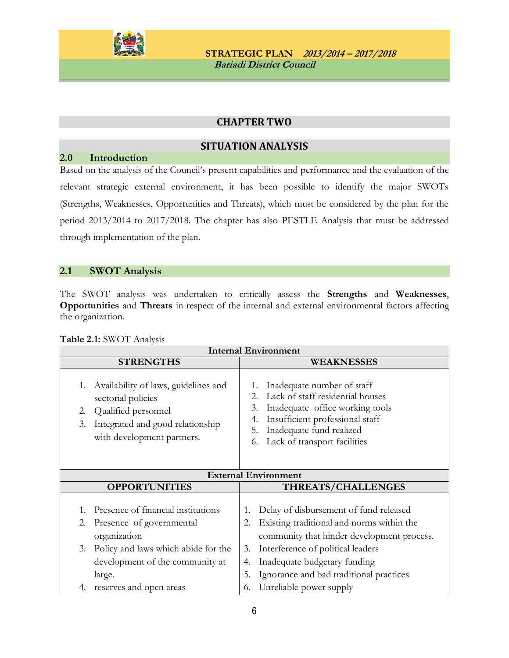

### **CHAPTER TWO**

### **SITUATION ANALYSIS**

### <span id="page-5-2"></span><span id="page-5-1"></span><span id="page-5-0"></span>**2.0 Introduction**

Based on the analysis of the Council's present capabilities and performance and the evaluation of the relevant strategic external environment, it has been possible to identify the major SWOTs (Strengths, Weaknesses, Opportunities and Threats), which must be considered by the plan for the period 2013/2014 to 2017/2018. The chapter has also PESTLE Analysis that must be addressed through implementation of the plan.

### <span id="page-5-3"></span>**2.1 SWOT Analysis**

The SWOT analysis was undertaken to critically assess the **Strengths** and **Weaknesses**, **Opportunities** and **Threats** in respect of the internal and external environmental factors affecting the organization.

| <b>Internal Environment</b>                                                                                                                                           |                                                                                                                                                                                                                                |  |  |  |
|-----------------------------------------------------------------------------------------------------------------------------------------------------------------------|--------------------------------------------------------------------------------------------------------------------------------------------------------------------------------------------------------------------------------|--|--|--|
| <b>STRENGTHS</b>                                                                                                                                                      | <b>WEAKNESSES</b>                                                                                                                                                                                                              |  |  |  |
| Availability of laws, guidelines and<br>1.<br>sectorial policies<br>Qualified personnel<br>2.<br>Integrated and good relationship<br>3.<br>with development partners. | Inadequate number of staff<br>Lack of staff residential houses<br>2.<br>Inadequate office working tools<br>3.<br>Insufficient professional staff<br>4.<br>Inadequate fund realized<br>5.<br>Lack of transport facilities<br>6. |  |  |  |
| <b>External Environment</b>                                                                                                                                           |                                                                                                                                                                                                                                |  |  |  |
|                                                                                                                                                                       |                                                                                                                                                                                                                                |  |  |  |
| <b>OPPORTUNITIES</b>                                                                                                                                                  | THREATS/CHALLENGES                                                                                                                                                                                                             |  |  |  |
| Presence of financial institutions<br>1.<br>2.<br>Presence of governmental<br>organization                                                                            | Delay of disbursement of fund released<br>1.<br>Existing traditional and norms within the<br>2.<br>community that hinder development process.                                                                                  |  |  |  |
| Policy and laws which abide for the<br>3.<br>development of the community at<br>large.<br>reserves and open areas                                                     | Interference of political leaders<br>3.<br>Inadequate budgetary funding<br>4.<br>5.<br>Ignorance and bad traditional practices<br>Unreliable power supply                                                                      |  |  |  |

#### **Table 2.1:** SWOT Analysis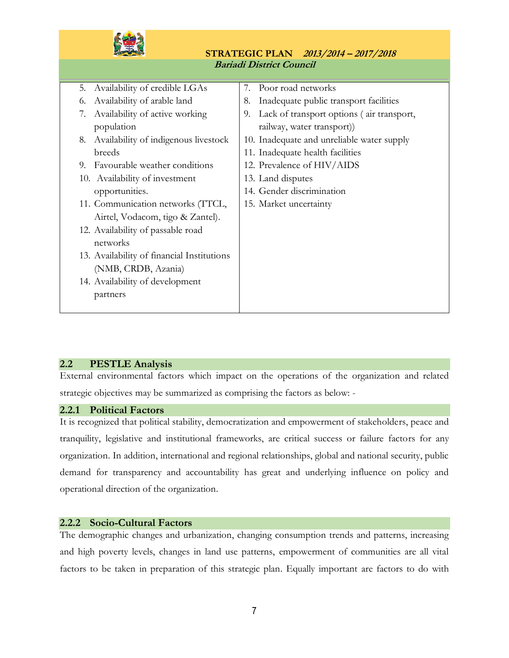

|    | 5. Availability of credible LGAs           |    | 7. Poor road networks                      |
|----|--------------------------------------------|----|--------------------------------------------|
| 6. | Availability of arable land                | 8. | Inadequate public transport facilities     |
| 7. | Availability of active working             | 9. | Lack of transport options (air transport,  |
|    | population                                 |    | railway, water transport)                  |
| 8. | Availability of indigenous livestock       |    | 10. Inadequate and unreliable water supply |
|    | breeds                                     |    | 11. Inadequate health facilities           |
|    | 9. Favourable weather conditions           |    | 12. Prevalence of HIV/AIDS                 |
|    | 10. Availability of investment             |    | 13. Land disputes                          |
|    | opportunities.                             |    | 14. Gender discrimination                  |
|    | 11. Communication networks (TTCL,          |    | 15. Market uncertainty                     |
|    | Airtel, Vodacom, tigo & Zantel).           |    |                                            |
|    | 12. Availability of passable road          |    |                                            |
|    | networks                                   |    |                                            |
|    | 13. Availability of financial Institutions |    |                                            |
|    | (NMB, CRDB, Azania)                        |    |                                            |
|    | 14. Availability of development            |    |                                            |
|    | partners                                   |    |                                            |
|    |                                            |    |                                            |
|    |                                            |    |                                            |

### <span id="page-6-0"></span>**2.2 PESTLE Analysis**

External environmental factors which impact on the operations of the organization and related strategic objectives may be summarized as comprising the factors as below: -

#### <span id="page-6-1"></span>**2.2.1 Political Factors**

It is recognized that political stability, democratization and empowerment of stakeholders, peace and tranquility, legislative and institutional frameworks, are critical success or failure factors for any organization. In addition, international and regional relationships, global and national security, public demand for transparency and accountability has great and underlying influence on policy and operational direction of the organization.

#### <span id="page-6-2"></span>**2.2.2 Socio-Cultural Factors**

The demographic changes and urbanization, changing consumption trends and patterns, increasing and high poverty levels, changes in land use patterns, empowerment of communities are all vital factors to be taken in preparation of this strategic plan. Equally important are factors to do with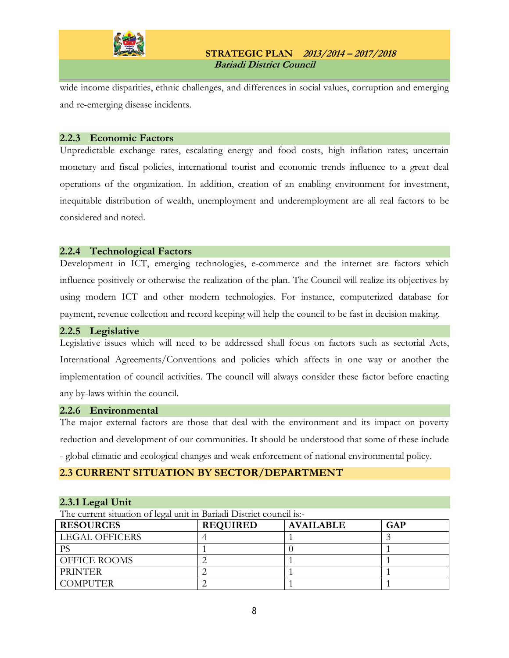

wide income disparities, ethnic challenges, and differences in social values, corruption and emerging and re-emerging disease incidents.

#### <span id="page-7-0"></span>**2.2.3 Economic Factors**

Unpredictable exchange rates, escalating energy and food costs, high inflation rates; uncertain monetary and fiscal policies, international tourist and economic trends influence to a great deal operations of the organization. In addition, creation of an enabling environment for investment, inequitable distribution of wealth, unemployment and underemployment are all real factors to be considered and noted.

#### <span id="page-7-1"></span>**2.2.4 Technological Factors**

Development in ICT, emerging technologies, e-commerce and the internet are factors which influence positively or otherwise the realization of the plan. The Council will realize its objectives by using modern ICT and other modern technologies. For instance, computerized database for payment, revenue collection and record keeping will help the council to be fast in decision making.

#### <span id="page-7-2"></span>**2.2.5 Legislative**

Legislative issues which will need to be addressed shall focus on factors such as sectorial Acts, International Agreements/Conventions and policies which affects in one way or another the implementation of council activities. The council will always consider these factor before enacting any by-laws within the council.

#### <span id="page-7-3"></span>**2.2.6 Environmental**

The major external factors are those that deal with the environment and its impact on poverty reduction and development of our communities. It should be understood that some of these include - global climatic and ecological changes and weak enforcement of national environmental policy.

#### <span id="page-7-4"></span>**2.3 CURRENT SITUATION BY SECTOR/DEPARTMENT**

#### <span id="page-7-5"></span>**2.3.1 Legal Unit**

The current situation of legal unit in Bariadi District council is:-

| <b>RESOURCES</b>      | <b>REQUIRED</b> | <b>AVAILABLE</b> | GAP |
|-----------------------|-----------------|------------------|-----|
| <b>LEGAL OFFICERS</b> |                 |                  |     |
| РS                    |                 |                  |     |
| <b>OFFICE ROOMS</b>   |                 |                  |     |
| <b>PRINTER</b>        |                 |                  |     |
| <b>COMPUTER</b>       |                 |                  |     |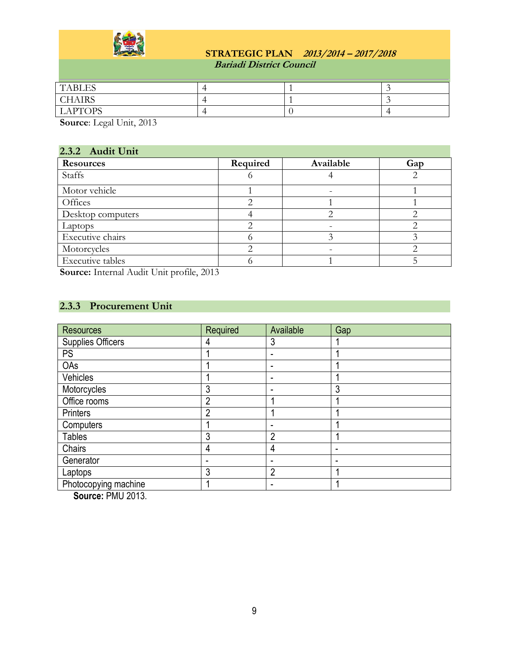

| <b>TABLES</b>  |  |  |
|----------------|--|--|
| <b>CHAIRS</b>  |  |  |
| <b>LAPTOPS</b> |  |  |

**Source**: Legal Unit, 2013

## <span id="page-8-0"></span>**2.3.2 Audit Unit**

| $\frac{2}{1000}$ $\frac{1}{1000}$ |          |           |     |
|-----------------------------------|----------|-----------|-----|
| <b>Resources</b>                  | Required | Available | Gap |
| <b>Staffs</b>                     |          |           |     |
| Motor vehicle                     |          |           |     |
| Offices                           |          |           |     |
| Desktop computers                 |          |           |     |
| Laptops                           |          |           |     |
| Executive chairs                  |          |           |     |
| Motorcycles                       |          |           |     |
| <b>Executive tables</b>           |          |           |     |

**Source:** Internal Audit Unit profile, 2013

## <span id="page-8-1"></span>**2.3.3 Procurement Unit**

| <b>Resources</b>     | Required       | Available                | Gap |
|----------------------|----------------|--------------------------|-----|
| Supplies Officers    | 4              | 3                        |     |
| <b>PS</b>            |                | $\overline{\phantom{0}}$ |     |
| OAs                  |                |                          |     |
| Vehicles             |                |                          |     |
| Motorcycles          | 3              |                          | 3   |
| Office rooms         | $\overline{2}$ |                          |     |
| Printers             | $\overline{2}$ |                          |     |
| Computers            |                |                          |     |
| <b>Tables</b>        | 3              | $\overline{2}$           |     |
| Chairs               | 4              | 4                        | -   |
| Generator            | ۰              |                          |     |
| Laptops              | 3              | っ                        |     |
| Photocopying machine |                |                          |     |

 **Source:** PMU 2013.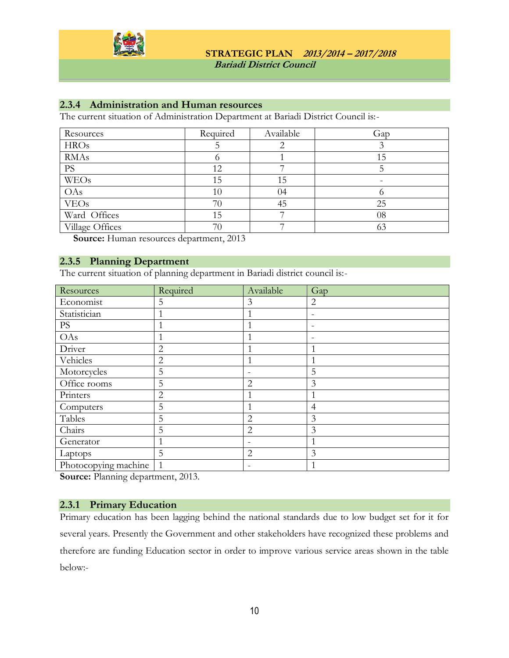

### <span id="page-9-0"></span>**2.3.4 Administration and Human resources**

The current situation of Administration Department at Bariadi District Council is:-

| Resources       | Required | Available | Gap |
|-----------------|----------|-----------|-----|
| <b>HROs</b>     |          |           |     |
| <b>RMAs</b>     |          |           | 15  |
| <b>PS</b>       | 12       |           |     |
| <b>WEOs</b>     | 15       | 15        |     |
| OAs             | 10       | 04        |     |
| <b>VEOs</b>     | 70       | 45        | 25  |
| Ward Offices    | 15       |           | 08  |
| Village Offices | 70       |           |     |

**Source:** Human resources department, 2013

#### <span id="page-9-1"></span>**2.3.5 Planning Department**

The current situation of planning department in Bariadi district council is:-

| Resources            | Required       | Available      | Gap |
|----------------------|----------------|----------------|-----|
| Economist            | 5              | 3              | 2   |
| Statistician         |                |                | -   |
| PS                   |                |                |     |
| OAs                  |                |                |     |
| Driver               | $\overline{2}$ |                |     |
| Vehicles             | $\overline{2}$ |                |     |
| Motorcycles          | 5              |                | 5   |
| Office rooms         | 5              | $\overline{2}$ | 3   |
| Printers             | $\overline{2}$ |                |     |
| Computers            | 5              |                | 4   |
| Tables               | 5              | 2              | 3   |
| Chairs               | 5              | $\overline{2}$ | 3   |
| Generator            |                |                |     |
| Laptops              | 5              | $\overline{2}$ | 3   |
| Photocopying machine |                |                |     |

**Source:** Planning department, 2013.

#### <span id="page-9-2"></span>**2.3.1 Primary Education**

Primary education has been lagging behind the national standards due to low budget set for it for several years. Presently the Government and other stakeholders have recognized these problems and therefore are funding Education sector in order to improve various service areas shown in the table below:-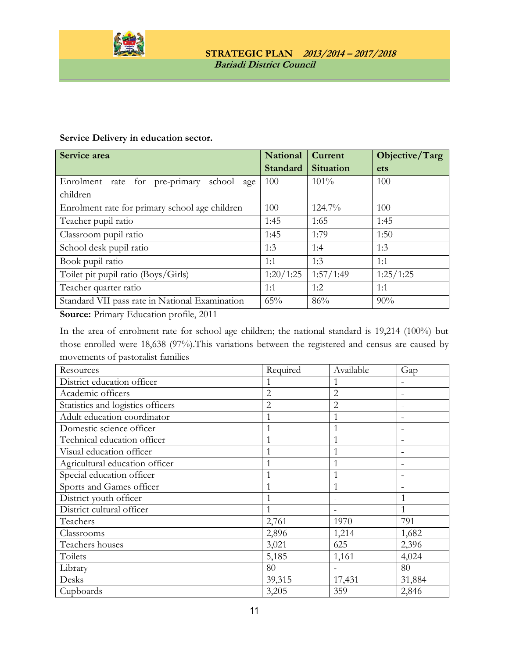

#### **Service Delivery in education sector.**

| Service area                                    | <b>National</b> | Current   | Objective/Targ |
|-------------------------------------------------|-----------------|-----------|----------------|
|                                                 | Standard        | Situation | ets            |
| Enrolment rate for pre-primary<br>school<br>age | 100             | $101\%$   | 100            |
| children                                        |                 |           |                |
| Enrolment rate for primary school age children  | 100             | 124.7%    | 100            |
| Teacher pupil ratio                             | 1:45            | 1:65      | 1:45           |
| Classroom pupil ratio                           | 1:45            | 1:79      | 1:50           |
| School desk pupil ratio                         | 1:3             | 1:4       | 1:3            |
| Book pupil ratio                                | 1:1             | 1:3       | 1:1            |
| Toilet pit pupil ratio (Boys/Girls)             | 1:20/1:25       | 1:57/1:49 | 1:25/1:25      |
| Teacher quarter ratio                           | 1:1             | 1:2       | 1:1            |
| Standard VII pass rate in National Examination  | 65%             | 86%       | 90%            |
| $\Omega$ $D'$ $\Gamma$ $1$ $C1$ $\Omega$ 044    |                 |           |                |

**Source:** Primary Education profile, 2011

In the area of enrolment rate for school age children; the national standard is 19,214 (100%) but those enrolled were 18,638 (97%).This variations between the registered and census are caused by movements of pastoralist families

| Resources                         | Required       | Available | Gap                      |
|-----------------------------------|----------------|-----------|--------------------------|
| District education officer        |                |           |                          |
| Academic officers                 | $\overline{2}$ | 2         |                          |
| Statistics and logistics officers | $\overline{2}$ | 2         |                          |
| Adult education coordinator       | 1              |           |                          |
| Domestic science officer          | 1              |           |                          |
| Technical education officer       | 1              |           |                          |
| Visual education officer          |                |           | $\overline{\phantom{0}}$ |
| Agricultural education officer    | 1              |           |                          |
| Special education officer         | $\mathbf{1}$   |           |                          |
| Sports and Games officer          | $\mathbf{1}$   |           |                          |
| District youth officer            | 1              |           |                          |
| District cultural officer         | 1              |           | 1                        |
| Teachers                          | 2,761          | 1970      | 791                      |
| Classrooms                        | 2,896          | 1,214     | 1,682                    |
| Teachers houses                   | 3,021          | 625       | 2,396                    |
| Toilets                           | 5,185          | 1,161     | 4,024                    |
| Library                           | 80             |           | 80                       |
| Desks                             | 39,315         | 17,431    | 31,884                   |
| Cupboards                         | 3,205          | 359       | 2,846                    |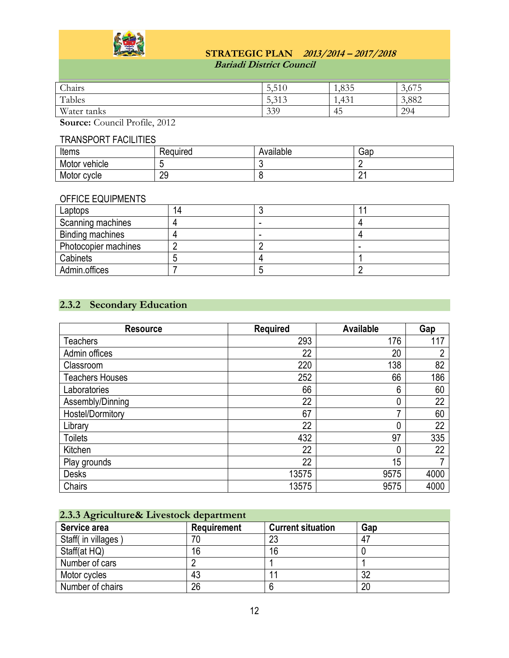

| Chairs      | F A<br><b>J.JIU</b>     | 1,835 | $\sqrt{2}$<br>3.07 |
|-------------|-------------------------|-------|--------------------|
| Tables      | $\Gamma$ 212<br>- 7.717 | 1,431 | 3,882              |
| Water tanks | 339                     | 45    | 294                |

**Source:** Council Profile, 2012

### TRANSPORT FACILITIES

| Items         | Reauired | . .<br>Available | Gap    |
|---------------|----------|------------------|--------|
| Motor vehicle |          |                  |        |
| Motor cycle   | 29       |                  | C<br>_ |

### OFFICE EQUIPMENTS

| Laptops              | 14 |   |
|----------------------|----|---|
| Scanning machines    |    |   |
| Binding machines     |    |   |
| Photocopier machines |    | - |
| Cabinets             |    |   |
| Admin.offices        |    |   |

## <span id="page-11-0"></span>**2.3.2 Secondary Education**

| <b>Resource</b>        | <b>Required</b> | <b>Available</b> | Gap  |
|------------------------|-----------------|------------------|------|
| <b>Teachers</b>        | 293             | 176              | 117  |
| Admin offices          | 22              | 20               | າ    |
| Classroom              | 220             | 138              | 82   |
| <b>Teachers Houses</b> | 252             | 66               | 186  |
| Laboratories           | 66              | 6                | 60   |
| Assembly/Dinning       | 22              |                  | 22   |
| Hostel/Dormitory       | 67              |                  | 60   |
| Library                | 22              |                  | 22   |
| <b>Toilets</b>         | 432             | 97               | 335  |
| Kitchen                | 22              |                  | 22   |
| Play grounds           | 22              | 15               | 7    |
| <b>Desks</b>           | 13575           | 9575             | 4000 |
| Chairs                 | 13575           | 9575             | 4000 |

## <span id="page-11-1"></span>**2.3.3 Agriculture& Livestock department**

| Service area        | <b>Requirement</b> | <b>Current situation</b> | Gap |
|---------------------|--------------------|--------------------------|-----|
| Staff( in villages) | 70                 | 23                       | 47  |
| Staff(at HQ)        | 16                 | 16                       |     |
| Number of cars      |                    |                          |     |
| Motor cycles        | 43                 |                          | 32  |
| Number of chairs    | 26                 |                          | 20  |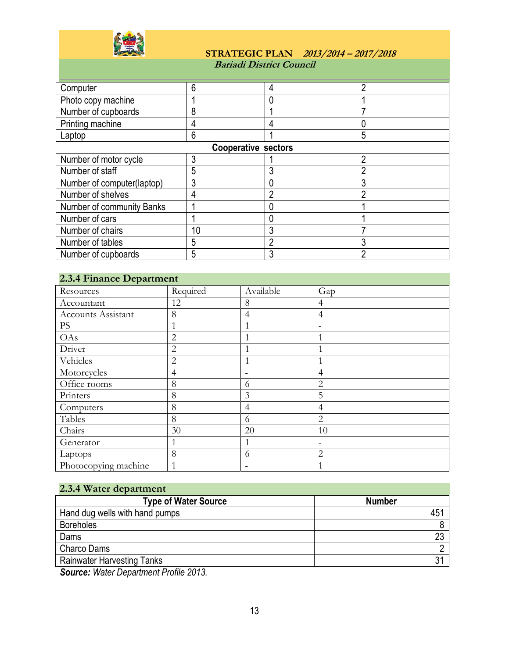

### **STRATEGIC PLAN 2013/2014 – 2017/2018 Bariadi District Council**

| Computer            |                     |  |
|---------------------|---------------------|--|
| Photo copy machine  |                     |  |
| Number of cupboards |                     |  |
| Printing machine    |                     |  |
| Laptop              |                     |  |
|                     | Cooperative sectors |  |

| <b>Cooperative sectors</b> |  |  |  |  |
|----------------------------|--|--|--|--|
| Number of motor cycle      |  |  |  |  |
| Number of staff            |  |  |  |  |
| Number of computer(laptop) |  |  |  |  |
| Number of shelves          |  |  |  |  |
| Number of community Banks  |  |  |  |  |
| Number of cars             |  |  |  |  |
| Number of chairs           |  |  |  |  |
| Number of tables           |  |  |  |  |
| Number of cupboards        |  |  |  |  |

## <span id="page-12-0"></span>**2.3.4 Finance Department**

| $-1$                      |                |                          |                          |
|---------------------------|----------------|--------------------------|--------------------------|
| Resources                 | Required       | Available                | Gap                      |
| Accountant                | 12             | 8                        | $\overline{4}$           |
| <b>Accounts Assistant</b> | 8              | 4                        | $\overline{4}$           |
| $\mathbf{P}\mathbf{S}$    |                |                          |                          |
| OAs                       | $\overline{2}$ |                          | 1                        |
| Driver                    | $\overline{2}$ |                          | 1                        |
| Vehicles                  | $\overline{2}$ |                          | 1                        |
| Motorcycles               | $\overline{4}$ |                          | 4                        |
| Office rooms              | 8              | 6                        | $\overline{2}$           |
| Printers                  | 8              | 3                        | 5                        |
| Computers                 | 8              | $\overline{4}$           | $\overline{4}$           |
| Tables                    | 8              | 6                        | $\overline{2}$           |
| Chairs                    | 30             | 20                       | 10                       |
| Generator                 |                | 1                        | $\overline{\phantom{m}}$ |
| Laptops                   | 8              | 6                        | $\overline{2}$           |
| Photocopying machine      | 1              | $\overline{\phantom{m}}$ | 1                        |

<span id="page-12-1"></span>

| 2.3.4 Water department            |                |
|-----------------------------------|----------------|
| <b>Type of Water Source</b>       | <b>Number</b>  |
| Hand dug wells with hand pumps    | 451            |
| <b>Boreholes</b>                  |                |
| Dams                              | 23             |
| <b>Charco Dams</b>                |                |
| <b>Rainwater Harvesting Tanks</b> | 3 <sup>1</sup> |
|                                   |                |

*Source: Water Department Profile 2013.*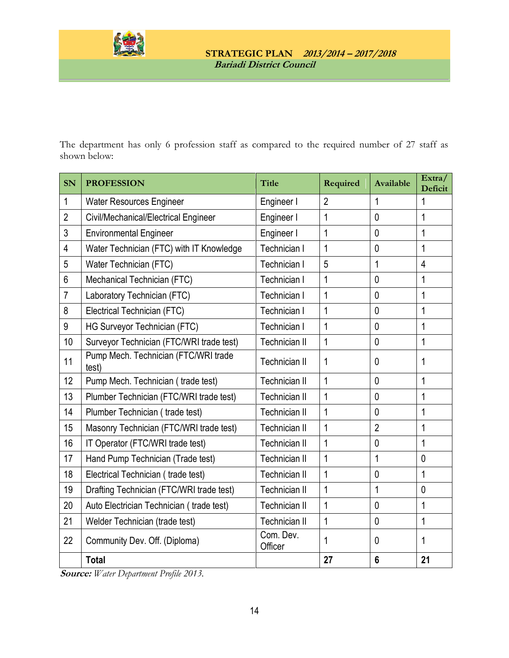

The department has only 6 profession staff as compared to the required number of 27 staff as shown below:

| <b>SN</b>      | <b>PROFESSION</b>                             | <b>Title</b>         | Required       | Available      | Extra/<br><b>Deficit</b> |
|----------------|-----------------------------------------------|----------------------|----------------|----------------|--------------------------|
| 1              | <b>Water Resources Engineer</b>               | Engineer I           | $\overline{2}$ | 1              | 1                        |
| $\overline{2}$ | Civil/Mechanical/Electrical Engineer          | Engineer I           | 1              | $\mathbf{0}$   | 1                        |
| 3              | <b>Environmental Engineer</b>                 | Engineer I           | 1              | $\mathbf{0}$   | 1                        |
| $\overline{4}$ | Water Technician (FTC) with IT Knowledge      | Technician I         | 1              | $\mathbf{0}$   | 1                        |
| 5              | Water Technician (FTC)                        | Technician I         | 5              | 1              | $\overline{4}$           |
| $6\phantom{1}$ | Mechanical Technician (FTC)                   | Technician I         | $\mathbf{1}$   | $\mathbf{0}$   | 1                        |
| $\overline{7}$ | Laboratory Technician (FTC)                   | Technician I         | 1              | $\mathbf{0}$   | 1                        |
| 8              | Electrical Technician (FTC)                   | Technician I         | 1              | $\mathbf{0}$   | 1                        |
| 9              | HG Surveyor Technician (FTC)                  | Technician I         | $\mathbf{1}$   | $\mathbf{0}$   | 1                        |
| 10             | Surveyor Technician (FTC/WRI trade test)      | Technician II        | 1              | $\mathbf 0$    | 1                        |
| 11             | Pump Mech. Technician (FTC/WRI trade<br>test) | Technician II        | 1              | $\mathbf{0}$   | 1                        |
| 12             | Pump Mech. Technician (trade test)            | Technician II        | $\mathbf{1}$   | $\mathbf{0}$   | 1                        |
| 13             | Plumber Technician (FTC/WRI trade test)       | Technician II        | 1              | $\mathbf{0}$   | 1                        |
| 14             | Plumber Technician (trade test)               | Technician II        | 1              | $\mathbf 0$    | 1                        |
| 15             | Masonry Technician (FTC/WRI trade test)       | <b>Technician II</b> | 1              | $\overline{2}$ | 1                        |
| 16             | IT Operator (FTC/WRI trade test)              | <b>Technician II</b> | 1              | $\mathbf{0}$   | 1                        |
| 17             | Hand Pump Technician (Trade test)             | Technician II        | $\mathbf{1}$   | 1              | $\mathbf{0}$             |
| 18             | Electrical Technician (trade test)            | <b>Technician II</b> | $\mathbf{1}$   | $\mathbf{0}$   | 1                        |
| 19             | Drafting Technician (FTC/WRI trade test)      | <b>Technician II</b> | 1              | 1              | $\mathbf{0}$             |
| 20             | Auto Electrician Technician (trade test)      | <b>Technician II</b> | 1              | $\mathbf 0$    | 1                        |
| 21             | Welder Technician (trade test)                | Technician II        | 1              | $\mathbf{0}$   | 1                        |
| 22             | Community Dev. Off. (Diploma)                 | Com. Dev.<br>Officer | 1              | $\mathbf{0}$   | 1                        |
|                | <b>Total</b>                                  |                      | 27             | $6\phantom{1}$ | 21                       |

**Source:** *Water Department Profile 2013.*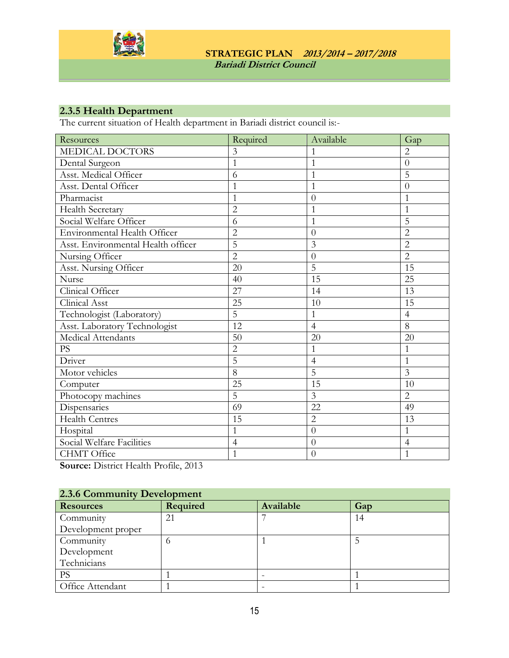

## <span id="page-14-0"></span>**2.3.5 Health Department**

The current situation of Health department in Bariadi district council is:-

| Resources                          | Required       | Available      | Gap            |
|------------------------------------|----------------|----------------|----------------|
| MEDICAL DOCTORS                    | 3              | 1              | $\overline{2}$ |
| Dental Surgeon                     | $\overline{1}$ | $\mathbf{1}$   | $\overline{0}$ |
| Asst. Medical Officer              | 6              | 1              | 5              |
| Asst. Dental Officer               | 1              | 1              | $\theta$       |
| Pharmacist                         | $\mathbf 1$    | $\overline{0}$ | $\mathbf{1}$   |
| Health Secretary                   | $\overline{2}$ | 1              | 1              |
| Social Welfare Officer             | 6              | 1              | 5              |
| Environmental Health Officer       | $\overline{2}$ | $\overline{0}$ | $\overline{2}$ |
| Asst. Environmental Health officer | $\overline{5}$ | 3              | $\overline{2}$ |
| Nursing Officer                    | $\overline{2}$ | $\overline{0}$ | $\overline{2}$ |
| Asst. Nursing Officer              | 20             | 5              | 15             |
| Nurse                              | 40             | 15             | 25             |
| Clinical Officer                   | 27             | 14             | 13             |
| Clinical Asst                      | 25             | 10             | 15             |
| Technologist (Laboratory)          | 5              | 1              | $\overline{4}$ |
| Asst. Laboratory Technologist      | 12             | $\overline{4}$ | 8              |
| Medical Attendants                 | 50             | 20             | 20             |
| <b>PS</b>                          | $\overline{2}$ | 1              | 1              |
| Driver                             | $\overline{5}$ | $\overline{4}$ | $\mathbf{1}$   |
| Motor vehicles                     | $\overline{8}$ | $\overline{5}$ | 3              |
| Computer                           | 25             | 15             | 10             |
| Photocopy machines                 | $\overline{5}$ | $\overline{3}$ | $\overline{2}$ |
| Dispensaries                       | 69             | 22             | 49             |
| <b>Health Centres</b>              | 15             | $\overline{2}$ | 13             |
| Hospital                           | $\mathbf{1}$   | $\overline{0}$ | $\mathbf{1}$   |
| Social Welfare Facilities          | $\overline{4}$ | $\overline{0}$ | $\overline{4}$ |
| CHMT Office                        | $\mathbf 1$    | $\theta$       | 1              |

**Source:** District Health Profile, 2013

<span id="page-14-1"></span>

| 2.3.6 Community Development |          |           |     |  |  |
|-----------------------------|----------|-----------|-----|--|--|
| <b>Resources</b>            | Required | Available | Gap |  |  |
| Community                   | 21       |           | 14  |  |  |
| Development proper          |          |           |     |  |  |
| Community                   | O        |           |     |  |  |
| Development                 |          |           |     |  |  |
| Technicians                 |          |           |     |  |  |
| PS                          |          |           |     |  |  |
| Office Attendant            |          |           |     |  |  |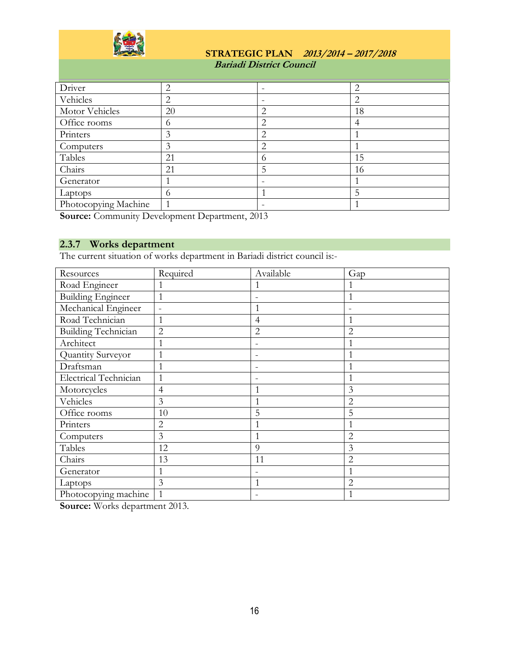

 **Bariadi District Council**

| Driver               | ↑        | -                        | 2  |
|----------------------|----------|--------------------------|----|
| Vehicles             |          | -                        | 2  |
| Motor Vehicles       | 20       | 2                        | 18 |
| Office rooms         | $\theta$ | 2                        | 4  |
| Printers             | 3        | ◠                        |    |
| Computers            | 3        | 2                        |    |
| Tables               | 21       | 6                        | 15 |
| Chairs               | 21       | 5                        | 16 |
| Generator            |          | $\overline{\phantom{0}}$ |    |
| Laptops              | $^{(1)}$ |                          | 5  |
| Photocopying Machine |          | -                        |    |

**Source:** Community Development Department, 2013

## <span id="page-15-0"></span>**2.3.7 Works department**

The current situation of works department in Bariadi district council is:-

| Resources                  | Required       | Available                | Gap            |
|----------------------------|----------------|--------------------------|----------------|
| Road Engineer              |                | 1                        |                |
| <b>Building Engineer</b>   | $\mathbf{1}$   |                          | 1              |
| Mechanical Engineer        | $\equiv$       | $\mathbf{1}$             |                |
| Road Technician            | $\mathbf{1}$   | 4                        | $\mathbf{1}$   |
| <b>Building Technician</b> | $\overline{2}$ | $\overline{2}$           | $\overline{2}$ |
| Architect                  | 1              | $\overline{\phantom{0}}$ | 1              |
| Quantity Surveyor          | 1              | $\overline{\phantom{0}}$ | 1              |
| Draftsman                  | $\mathbf{1}$   | $\overline{\phantom{0}}$ | 1              |
| Electrical Technician      | $\mathbf{1}$   |                          | $\mathbf{1}$   |
| Motorcycles                | 4              | 1                        | 3              |
| Vehicles                   | $\overline{3}$ | $\mathbf{1}$             | $\overline{2}$ |
| Office rooms               | 10             | 5                        | 5              |
| Printers                   | $\overline{2}$ | 1                        |                |
| Computers                  | 3              | $\mathbf{1}$             | $\overline{2}$ |
| Tables                     | 12             | 9                        | 3              |
| Chairs                     | 13             | 11                       | $\overline{2}$ |
| Generator                  | 1              |                          | $\mathbf{1}$   |
| Laptops                    | 3              | 1                        | $\overline{2}$ |
| Photocopying machine       | $\mathbf{1}$   |                          |                |

**Source:** Works department 2013.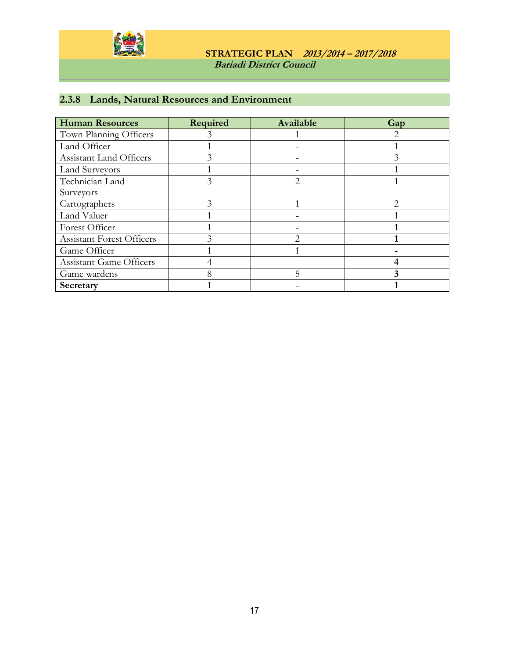

## <span id="page-16-0"></span>**2.3.8 Lands, Natural Resources and Environment**

| <b>Human Resources</b>           | Required | Available | Gap |
|----------------------------------|----------|-----------|-----|
| Town Planning Officers           |          |           |     |
| Land Officer                     |          |           |     |
| Assistant Land Officers          |          |           |     |
| <b>Land Surveyors</b>            |          |           |     |
| Technician Land                  | 3        |           |     |
| Surveyors                        |          |           |     |
| Cartographers                    |          |           | ◠   |
| Land Valuer                      |          |           |     |
| Forest Officer                   |          |           |     |
| <b>Assistant Forest Officers</b> |          |           |     |
| Game Officer                     |          |           |     |
| <b>Assistant Game Officers</b>   |          |           |     |
| Game wardens                     |          |           |     |
| Secretary                        |          |           |     |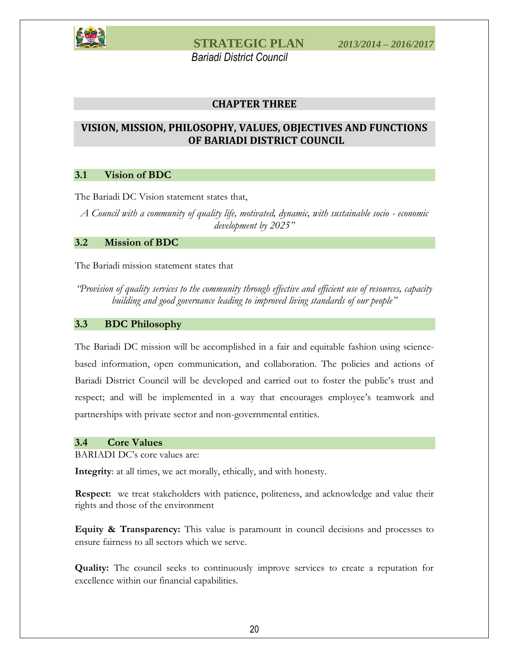

 *Bariadi District Council*

### **CHAPTER THREE**

### <span id="page-17-1"></span><span id="page-17-0"></span>**VISION, MISSION, PHILOSOPHY, VALUES, OBJECTIVES AND FUNCTIONS OF BARIADI DISTRICT COUNCIL**

#### <span id="page-17-2"></span>**3.1 Vision of BDC**

The Bariadi DC Vision statement states that,

*A Council with a community of quality life, motivated, dynamic, with sustainable socio - economic development by 2025"*

#### <span id="page-17-3"></span>**3.2 Mission of BDC**

The Bariadi mission statement states that

*"Provision of quality services to the community through effective and efficient use of resources, capacity building and good governance leading to improved living standards of our people"*

#### <span id="page-17-4"></span>**3.3 BDC Philosophy**

The Bariadi DC mission will be accomplished in a fair and equitable fashion using sciencebased information, open communication, and collaboration. The policies and actions of Bariadi District Council will be developed and carried out to foster the public's trust and respect; and will be implemented in a way that encourages employee's teamwork and partnerships with private sector and non-governmental entities.

#### <span id="page-17-5"></span>**3.4 Core Values**

BARIADI DC's core values are:

**Integrity**: at all times, we act morally, ethically, and with honesty.

**Respect:** we treat stakeholders with patience, politeness, and acknowledge and value their rights and those of the environment

**Equity & Transparency:** This value is paramount in council decisions and processes to ensure fairness to all sectors which we serve.

**Quality:** The council seeks to continuously improve services to create a reputation for excellence within our financial capabilities.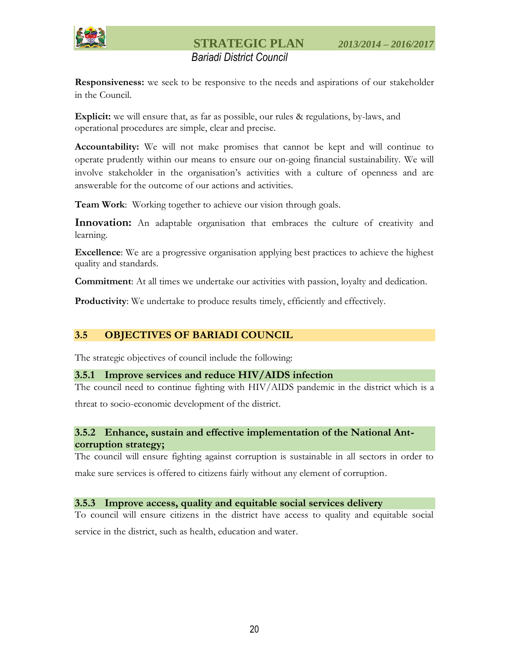

## *Bariadi District Council*

**Responsiveness:** we seek to be responsive to the needs and aspirations of our stakeholder in the Council.

**Explicit:** we will ensure that, as far as possible, our rules & regulations, by-laws, and operational procedures are simple, clear and precise.

**Accountability:** We will not make promises that cannot be kept and will continue to operate prudently within our means to ensure our on-going financial sustainability. We will involve stakeholder in the organisation's activities with a culture of openness and are answerable for the outcome of our actions and activities.

**Team Work**: Working together to achieve our vision through goals.

**Innovation:** An adaptable organisation that embraces the culture of creativity and learning.

**Excellence**: We are a progressive organisation applying best practices to achieve the highest quality and standards.

**Commitment**: At all times we undertake our activities with passion, loyalty and dedication.

**Productivity**: We undertake to produce results timely, efficiently and effectively.

## <span id="page-18-0"></span>**3.5 OBJECTIVES OF BARIADI COUNCIL**

The strategic objectives of council include the following:

#### <span id="page-18-1"></span>**3.5.1 Improve services and reduce HIV/AIDS infection**

The council need to continue fighting with HIV/AIDS pandemic in the district which is a threat to socio-economic development of the district.

### <span id="page-18-2"></span>**3.5.2 Enhance, sustain and effective implementation of the National Antcorruption strategy;**

The council will ensure fighting against corruption is sustainable in all sectors in order to make sure services is offered to citizens fairly without any element of corruption.

#### <span id="page-18-3"></span>**3.5.3 Improve access, quality and equitable social services delivery**

To council will ensure citizens in the district have access to quality and equitable social service in the district, such as health, education and water.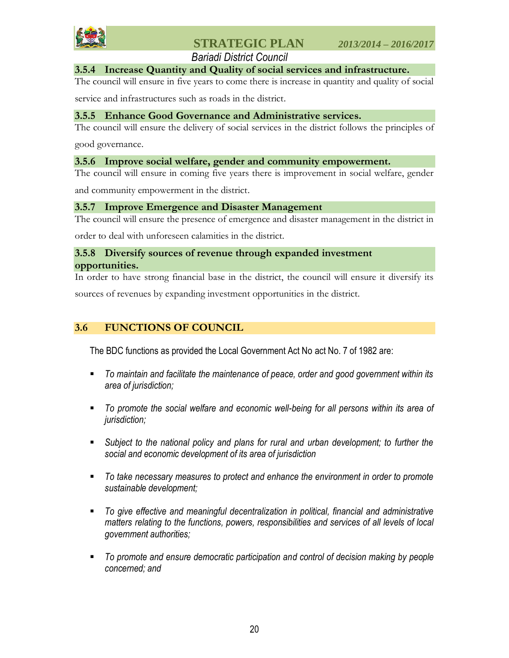

 *Bariadi District Council*

#### <span id="page-19-0"></span>**3.5.4 Increase Quantity and Quality of social services and infrastructure.**

The council will ensure in five years to come there is increase in quantity and quality of social

service and infrastructures such as roads in the district.

#### <span id="page-19-1"></span>**3.5.5 Enhance Good Governance and Administrative services.**

The council will ensure the delivery of social services in the district follows the principles of

good governance.

#### <span id="page-19-2"></span>**3.5.6 Improve social welfare, gender and community empowerment.**

The council will ensure in coming five years there is improvement in social welfare, gender

and community empowerment in the district.

#### <span id="page-19-3"></span>**3.5.7 Improve Emergence and Disaster Management**

The council will ensure the presence of emergence and disaster management in the district in

order to deal with unforeseen calamities in the district.

#### <span id="page-19-4"></span>**3.5.8 Diversify sources of revenue through expanded investment opportunities.**

In order to have strong financial base in the district, the council will ensure it diversify its sources of revenues by expanding investment opportunities in the district.

### <span id="page-19-5"></span>**3.6 FUNCTIONS OF COUNCIL**

The BDC functions as provided the Local Government Act No act No. 7 of 1982 are:

- *To maintain and facilitate the maintenance of peace, order and good government within its area of jurisdiction;*
- *To promote the social welfare and economic well-being for all persons within its area of jurisdiction;*
- *Subject to the national policy and plans for rural and urban development; to further the social and economic development of its area of jurisdiction*
- *To take necessary measures to protect and enhance the environment in order to promote sustainable development;*
- *To give effective and meaningful decentralization in political, financial and administrative matters relating to the functions, powers, responsibilities and services of all levels of local government authorities;*
- *To promote and ensure democratic participation and control of decision making by people concerned; and*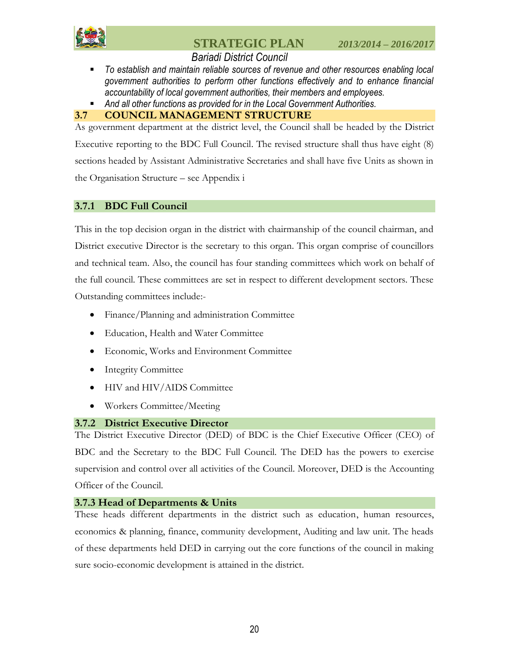

## *Bariadi District Council*

- *To establish and maintain reliable sources of revenue and other resources enabling local government authorities to perform other functions effectively and to enhance financial accountability of local government authorities, their members and employees.*
- *And all other functions as provided for in the Local Government Authorities.*

### <span id="page-20-0"></span>**3.7 COUNCIL MANAGEMENT STRUCTURE**

As government department at the district level, the Council shall be headed by the District Executive reporting to the BDC Full Council. The revised structure shall thus have eight (8) sections headed by Assistant Administrative Secretaries and shall have five Units as shown in the Organisation Structure – see Appendix i

### <span id="page-20-1"></span>**3.7.1 BDC Full Council**

This in the top decision organ in the district with chairmanship of the council chairman, and District executive Director is the secretary to this organ. This organ comprise of councillors and technical team. Also, the council has four standing committees which work on behalf of the full council. These committees are set in respect to different development sectors. These Outstanding committees include:-

- Finance/Planning and administration Committee
- Education, Health and Water Committee
- Economic, Works and Environment Committee
- Integrity Committee
- HIV and HIV/AIDS Committee
- Workers Committee/Meeting

### <span id="page-20-2"></span>**3.7.2 District Executive Director**

The District Executive Director (DED) of BDC is the Chief Executive Officer (CEO) of BDC and the Secretary to the BDC Full Council. The DED has the powers to exercise supervision and control over all activities of the Council. Moreover, DED is the Accounting Officer of the Council.

## <span id="page-20-3"></span>**3.7.3 Head of Departments & Units**

These heads different departments in the district such as education, human resources, economics & planning, finance, community development, Auditing and law unit. The heads of these departments held DED in carrying out the core functions of the council in making sure socio-economic development is attained in the district.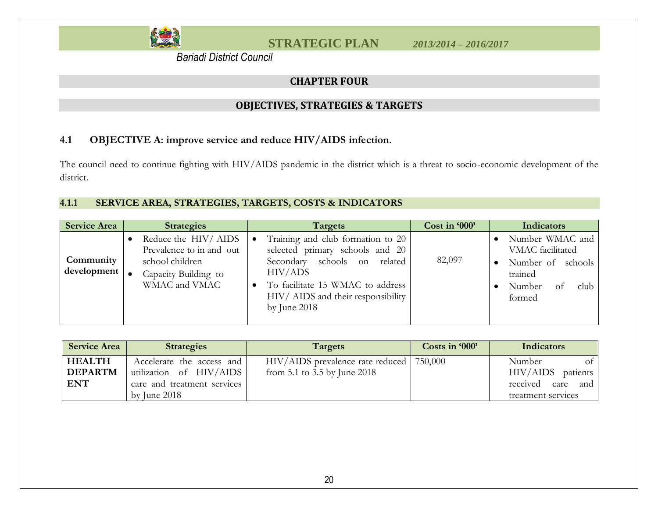

 *Bariadi District Council*

## **CHAPTER FOUR**

## **OBJECTIVES, STRATEGIES & TARGETS**

## **4.1 OBJECTIVE A: improve service and reduce HIV/AIDS infection.**

The council need to continue fighting with HIV/AIDS pandemic in the district which is a threat to socio-economic development of the district.

## **4.1.1 SERVICE AREA, STRATEGIES, TARGETS, COSTS & INDICATORS**

<span id="page-21-1"></span><span id="page-21-0"></span>

| <b>Service Area</b>      | <b>Strategies</b>                                                                                           | Targets                                                                                                                                                                                                     | Cost in '000' | <b>Indicators</b>                                                                                     |
|--------------------------|-------------------------------------------------------------------------------------------------------------|-------------------------------------------------------------------------------------------------------------------------------------------------------------------------------------------------------------|---------------|-------------------------------------------------------------------------------------------------------|
| Community<br>development | Reduce the HIV/AIDS<br>Prevalence to in and out<br>school children<br>Capacity Building to<br>WMAC and VMAC | Training and club formation to 20<br>selected primary schools and 20<br>Secondary schools on related<br>HIV/ADS<br>To facilitate 15 WMAC to address<br>HIV/ AIDS and their responsibility<br>by June $2018$ | 82,097        | Number WMAC and<br>VMAC facilitated<br>Number of schools<br>trained<br>club<br>Number<br>Ωt<br>formed |

<span id="page-21-2"></span>

| <b>Service Area</b> | <b>Strategies</b>           | Targets                          | Costs in '000' | <b>Indicators</b>                |
|---------------------|-----------------------------|----------------------------------|----------------|----------------------------------|
| <b>HEALTH</b>       | Accelerate the access and   | HIV/AIDS prevalence rate reduced | 750,000        | Number<br>$\circ$ f <sup>1</sup> |
| <b>DEPARTM</b>      | utilization of HIV/AIDS     | from 5.1 to 3.5 by June 2018     |                | HIV/AIDS<br>patients             |
| <b>ENT</b>          | care and treatment services |                                  |                | received<br>care and             |
|                     | by June $2018$              |                                  |                | treatment services               |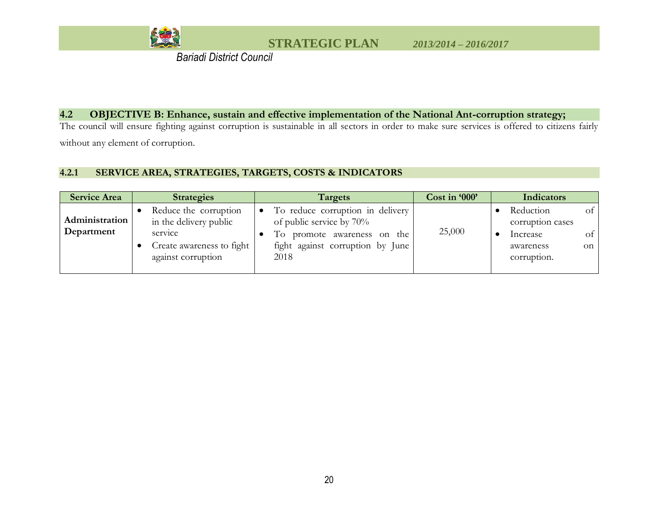

 *Bariadi District Council*

#### **4.2 OBJECTIVE B: Enhance, sustain and effective implementation of the National Ant-corruption strategy;**

The council will ensure fighting against corruption is sustainable in all sectors in order to make sure services is offered to citizens fairly without any element of corruption.

### **4.2.1 SERVICE AREA, STRATEGIES, TARGETS, COSTS & INDICATORS**

<span id="page-22-0"></span>

| <b>Service Area</b>          | <b>Strategies</b>                                                                                               | Targets                                                                                                                                 | Cost in '000' | Indicators                                                                                                      |
|------------------------------|-----------------------------------------------------------------------------------------------------------------|-----------------------------------------------------------------------------------------------------------------------------------------|---------------|-----------------------------------------------------------------------------------------------------------------|
| Administration<br>Department | Reduce the corruption<br>in the delivery public<br>service<br>Create awareness to fight  <br>against corruption | To reduce corruption in delivery<br>of public service by 70%<br>To promote awareness on the<br>fight against corruption by June<br>2018 | 25,000        | $\sigma f$<br>Reduction<br>corruption cases<br>$\circ$ f $\prime$<br>Increase<br>awareness<br>on<br>corruption. |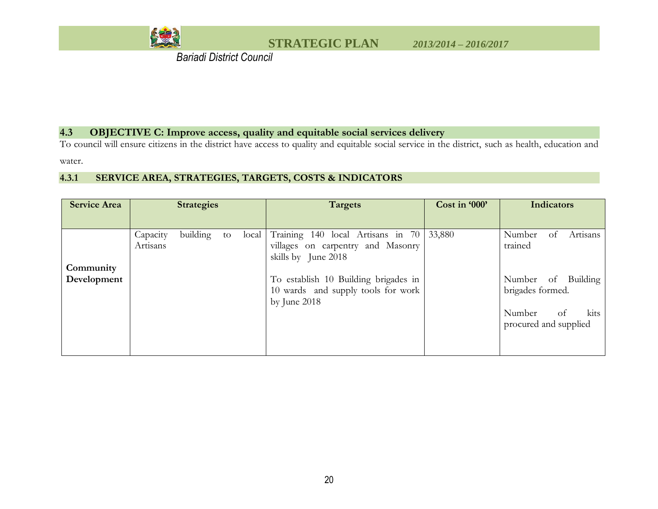

 *Bariadi District Council*

### **4.3 OBJECTIVE C: Improve access, quality and equitable social services delivery**

To council will ensure citizens in the district have access to quality and equitable social service in the district, such as health, education and

water.

### **4.3.1 SERVICE AREA, STRATEGIES, TARGETS, COSTS & INDICATORS**

<span id="page-23-0"></span>

| <b>Service Area</b>      |                      | <b>Strategies</b> |             | <b>Targets</b>                                                                                                                                 | Cost in '000' | <b>Indicators</b>                                                 |
|--------------------------|----------------------|-------------------|-------------|------------------------------------------------------------------------------------------------------------------------------------------------|---------------|-------------------------------------------------------------------|
|                          |                      |                   |             |                                                                                                                                                |               |                                                                   |
| Community<br>Development | Capacity<br>Artisans | building          | local<br>to | Training 140 local Artisans in 70   33,880<br>villages on carpentry and Masonry<br>skills by June 2018<br>To establish 10 Building brigades in |               | Number<br>Artisans<br>ot<br>trained<br>Number of Building         |
|                          |                      |                   |             | 10 wards and supply tools for work<br>by June $2018$                                                                                           |               | brigades formed.<br>kits<br>Number<br>of<br>procured and supplied |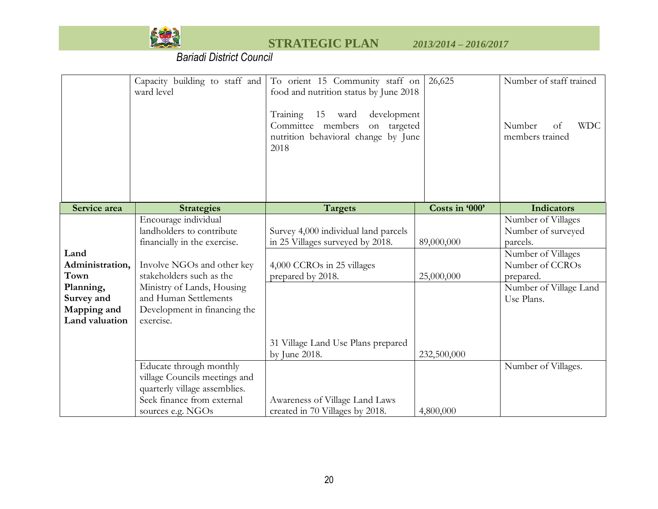

|                                                                                             | Capacity building to staff and<br>ward level                                                                                                                                                                                                    | To orient 15 Community staff on<br>food and nutrition status by June 2018<br>15<br>Training<br>development<br>ward<br>Committee members<br>on targeted<br>nutrition behavioral change by June<br>2018 | 26,625                   | Number of staff trained<br><b>WDC</b><br>Number<br>of<br>members trained                                                                           |
|---------------------------------------------------------------------------------------------|-------------------------------------------------------------------------------------------------------------------------------------------------------------------------------------------------------------------------------------------------|-------------------------------------------------------------------------------------------------------------------------------------------------------------------------------------------------------|--------------------------|----------------------------------------------------------------------------------------------------------------------------------------------------|
| Service area                                                                                | <b>Strategies</b>                                                                                                                                                                                                                               | <b>Targets</b>                                                                                                                                                                                        | Costs in '000'           | <b>Indicators</b>                                                                                                                                  |
| Land<br>Administration,<br>Town<br>Planning,<br>Survey and<br>Mapping and<br>Land valuation | Encourage individual<br>landholders to contribute<br>financially in the exercise.<br>Involve NGOs and other key<br>stakeholders such as the<br>Ministry of Lands, Housing<br>and Human Settlements<br>Development in financing the<br>exercise. | Survey 4,000 individual land parcels<br>in 25 Villages surveyed by 2018.<br>4,000 CCROs in 25 villages<br>prepared by 2018.                                                                           | 89,000,000<br>25,000,000 | Number of Villages<br>Number of surveyed<br>parcels.<br>Number of Villages<br>Number of CCROs<br>prepared.<br>Number of Village Land<br>Use Plans. |
|                                                                                             |                                                                                                                                                                                                                                                 | 31 Village Land Use Plans prepared<br>by June 2018.                                                                                                                                                   | 232,500,000              |                                                                                                                                                    |
|                                                                                             | Educate through monthly<br>village Councils meetings and<br>quarterly village assemblies.<br>Seek finance from external<br>sources e.g. NGOs                                                                                                    | Awareness of Village Land Laws<br>created in 70 Villages by 2018.                                                                                                                                     | 4,800,000                | Number of Villages.                                                                                                                                |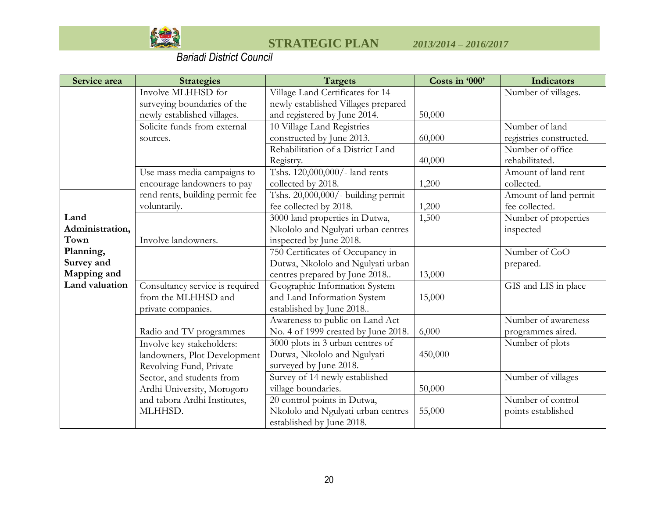

| Service area    | <b>Strategies</b>               | <b>Targets</b>                      | Costs in '000' | <b>Indicators</b>       |
|-----------------|---------------------------------|-------------------------------------|----------------|-------------------------|
|                 | Involve MLHHSD for              | Village Land Certificates for 14    |                | Number of villages.     |
|                 | surveying boundaries of the     | newly established Villages prepared |                |                         |
|                 | newly established villages.     | and registered by June 2014.        | 50,000         |                         |
|                 | Solicite funds from external    | 10 Village Land Registries          |                | Number of land          |
|                 | sources.                        | constructed by June 2013.           | 60,000         | registries constructed. |
|                 |                                 | Rehabilitation of a District Land   |                | Number of office        |
|                 |                                 | Registry.                           | 40,000         | rehabilitated.          |
|                 | Use mass media campaigns to     | Tshs. 120,000,000/- land rents      |                | Amount of land rent     |
|                 | encourage landowners to pay     | collected by 2018.                  | 1,200          | collected.              |
|                 | rend rents, building permit fee | Tshs. 20,000,000/- building permit  |                | Amount of land permit   |
|                 | voluntarily.                    | fee collected by 2018.              | 1,200          | fee collected.          |
| Land            |                                 | 3000 land properties in Dutwa,      | 1,500          | Number of properties    |
| Administration, |                                 | Nkololo and Ngulyati urban centres  |                | inspected               |
| Town            | Involve landowners.             | inspected by June 2018.             |                |                         |
| Planning,       |                                 | 750 Certificates of Occupancy in    |                | Number of CoO           |
| Survey and      |                                 | Dutwa, Nkololo and Ngulyati urban   |                | prepared.               |
| Mapping and     |                                 | centres prepared by June 2018       | 13,000         |                         |
| Land valuation  | Consultancy service is required | Geographic Information System       |                | GIS and LIS in place    |
|                 | from the MLHHSD and             | and Land Information System         | 15,000         |                         |
|                 | private companies.              | established by June 2018            |                |                         |
|                 |                                 | Awareness to public on Land Act     |                | Number of awareness     |
|                 | Radio and TV programmes         | No. 4 of 1999 created by June 2018. | 6,000          | programmes aired.       |
|                 | Involve key stakeholders:       | 3000 plots in 3 urban centres of    |                | Number of plots         |
|                 | landowners, Plot Development    | Dutwa, Nkololo and Ngulyati         | 450,000        |                         |
|                 | Revolving Fund, Private         | surveyed by June 2018.              |                |                         |
|                 | Sector, and students from       | Survey of 14 newly established      |                | Number of villages      |
|                 | Ardhi University, Morogoro      | village boundaries.                 | 50,000         |                         |
|                 | and tabora Ardhi Institutes,    | 20 control points in Dutwa,         |                | Number of control       |
|                 | MLHHSD.                         | Nkololo and Ngulyati urban centres  | 55,000         | points established      |
|                 |                                 | established by June 2018.           |                |                         |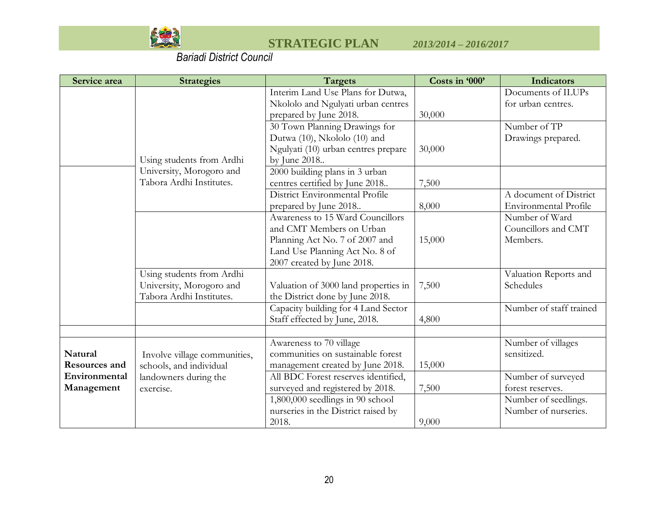

| Service area  | <b>Strategies</b>            | <b>Targets</b>                       | Costs in '000' | Indicators                   |
|---------------|------------------------------|--------------------------------------|----------------|------------------------------|
|               |                              | Interim Land Use Plans for Dutwa,    |                | Documents of ILUPs           |
|               |                              | Nkololo and Ngulyati urban centres   |                | for urban centres.           |
|               |                              | prepared by June 2018.               | 30,000         |                              |
|               |                              | 30 Town Planning Drawings for        |                | Number of TP                 |
|               |                              | Dutwa (10), Nkololo (10) and         |                | Drawings prepared.           |
|               |                              | Ngulyati (10) urban centres prepare  | 30,000         |                              |
|               | Using students from Ardhi    | by June 2018                         |                |                              |
|               | University, Morogoro and     | 2000 building plans in 3 urban       |                |                              |
|               | Tabora Ardhi Institutes.     | centres certified by June 2018       | 7,500          |                              |
|               |                              | District Environmental Profile       |                | A document of District       |
|               |                              | prepared by June 2018                | 8,000          | <b>Environmental Profile</b> |
|               |                              | Awareness to 15 Ward Councillors     |                | Number of Ward               |
|               |                              | and CMT Members on Urban             |                | Councillors and CMT          |
|               |                              | Planning Act No. 7 of 2007 and       | 15,000         | Members.                     |
|               |                              | Land Use Planning Act No. 8 of       |                |                              |
|               |                              | 2007 created by June 2018.           |                |                              |
|               | Using students from Ardhi    |                                      |                | Valuation Reports and        |
|               | University, Morogoro and     | Valuation of 3000 land properties in | 7,500          | Schedules                    |
|               | Tabora Ardhi Institutes.     | the District done by June 2018.      |                |                              |
|               |                              | Capacity building for 4 Land Sector  |                | Number of staff trained      |
|               |                              | Staff effected by June, 2018.        | 4,800          |                              |
|               |                              |                                      |                |                              |
|               |                              | Awareness to 70 village              |                | Number of villages           |
| Natural       | Involve village communities, | communities on sustainable forest    |                | sensitized.                  |
| Resources and | schools, and individual      | management created by June 2018.     | 15,000         |                              |
| Environmental | landowners during the        | All BDC Forest reserves identified,  |                | Number of surveyed           |
| Management    | exercise.                    | surveyed and registered by 2018.     | 7,500          | forest reserves.             |
|               |                              | 1,800,000 seedlings in 90 school     |                | Number of seedlings.         |
|               |                              | nurseries in the District raised by  |                | Number of nurseries.         |
|               |                              | 2018.                                | 9,000          |                              |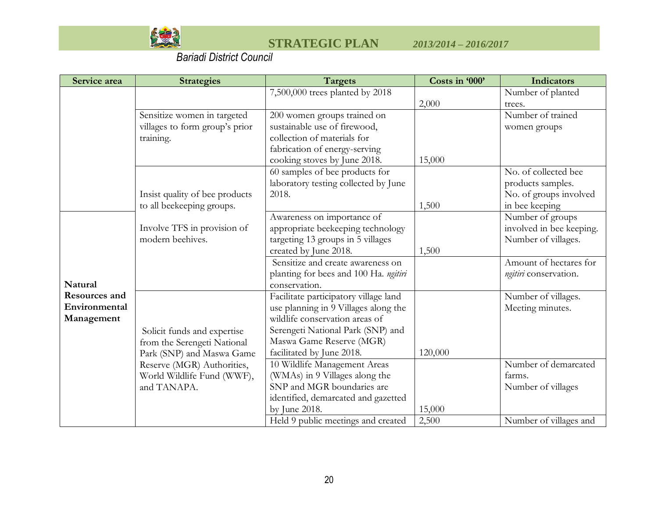

| Service area   | <b>Strategies</b>              | Targets                               | Costs in '000' | <b>Indicators</b>        |
|----------------|--------------------------------|---------------------------------------|----------------|--------------------------|
|                |                                | 7,500,000 trees planted by 2018       |                | Number of planted        |
|                |                                |                                       | 2,000          | trees.                   |
|                | Sensitize women in targeted    | 200 women groups trained on           |                | Number of trained        |
|                | villages to form group's prior | sustainable use of firewood,          |                | women groups             |
|                | training.                      | collection of materials for           |                |                          |
|                |                                | fabrication of energy-serving         |                |                          |
|                |                                | cooking stoves by June 2018.          | 15,000         |                          |
|                |                                | 60 samples of bee products for        |                | No. of collected bee     |
|                |                                | laboratory testing collected by June  |                | products samples.        |
|                | Insist quality of bee products | 2018.                                 |                | No. of groups involved   |
|                | to all beekeeping groups.      |                                       | 1,500          | in bee keeping           |
|                |                                | Awareness on importance of            |                | Number of groups         |
|                | Involve TFS in provision of    | appropriate beekeeping technology     |                | involved in bee keeping. |
|                | modern beehives.               | targeting 13 groups in 5 villages     |                | Number of villages.      |
|                |                                | created by June 2018.                 | 1,500          |                          |
|                |                                | Sensitize and create awareness on     |                | Amount of hectares for   |
|                |                                | planting for bees and 100 Ha. ngitiri |                | ngitiri conservation.    |
| <b>Natural</b> |                                | conservation.                         |                |                          |
| Resources and  |                                | Facilitate participatory village land |                | Number of villages.      |
| Environmental  |                                | use planning in 9 Villages along the  |                | Meeting minutes.         |
| Management     |                                | wildlife conservation areas of        |                |                          |
|                | Solicit funds and expertise    | Serengeti National Park (SNP) and     |                |                          |
|                | from the Serengeti National    | Maswa Game Reserve (MGR)              |                |                          |
|                | Park (SNP) and Maswa Game      | facilitated by June 2018.             | 120,000        |                          |
|                | Reserve (MGR) Authorities,     | 10 Wildlife Management Areas          |                | Number of demarcated     |
|                | World Wildlife Fund (WWF),     | (WMAs) in 9 Villages along the        |                | farms.                   |
|                | and TANAPA.                    | SNP and MGR boundaries are            |                | Number of villages       |
|                |                                | identified, demarcated and gazetted   |                |                          |
|                |                                | by June 2018.                         | 15,000         |                          |
|                |                                | Held 9 public meetings and created    | 2,500          | Number of villages and   |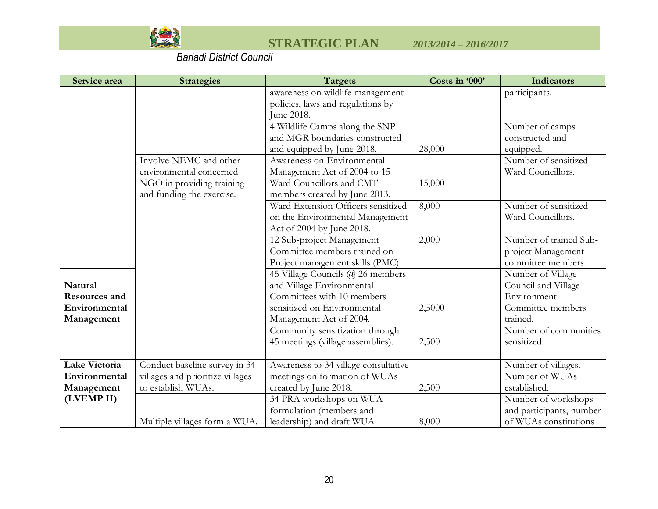

| Service area  | <b>Strategies</b>                | <b>Targets</b>                       | Costs in '000' | Indicators               |
|---------------|----------------------------------|--------------------------------------|----------------|--------------------------|
|               |                                  | awareness on wildlife management     |                | participants.            |
|               |                                  | policies, laws and regulations by    |                |                          |
|               |                                  | June 2018.                           |                |                          |
|               |                                  | 4 Wildlife Camps along the SNP       |                | Number of camps          |
|               |                                  | and MGR boundaries constructed       |                | constructed and          |
|               |                                  | and equipped by June 2018.           | 28,000         | equipped.                |
|               | Involve NEMC and other           | Awareness on Environmental           |                | Number of sensitized     |
|               | environmental concerned          | Management Act of 2004 to 15         |                | Ward Councillors.        |
|               | NGO in providing training        | Ward Councillors and CMT             | 15,000         |                          |
|               | and funding the exercise.        | members created by June 2013.        |                |                          |
|               |                                  | Ward Extension Officers sensitized   | 8,000          | Number of sensitized     |
|               |                                  | on the Environmental Management      |                | Ward Councillors.        |
|               |                                  | Act of 2004 by June 2018.            |                |                          |
|               |                                  | 12 Sub-project Management            | 2,000          | Number of trained Sub-   |
|               |                                  | Committee members trained on         |                | project Management       |
|               |                                  | Project management skills (PMC)      |                | committee members.       |
|               |                                  | 45 Village Councils @ 26 members     |                | Number of Village        |
| Natural       |                                  | and Village Environmental            |                | Council and Village      |
| Resources and |                                  | Committees with 10 members           |                | Environment              |
| Environmental |                                  | sensitized on Environmental          | 2,5000         | Committee members        |
| Management    |                                  | Management Act of 2004.              |                | trained.                 |
|               |                                  | Community sensitization through      |                | Number of communities    |
|               |                                  | 45 meetings (village assemblies).    | 2,500          | sensitized.              |
|               |                                  |                                      |                |                          |
| Lake Victoria | Conduct baseline survey in 34    | Awareness to 34 village consultative |                | Number of villages.      |
| Environmental | villages and prioritize villages | meetings on formation of WUAs        |                | Number of WUAs           |
| Management    | to establish WUAs.               | created by June 2018.                | 2,500          | established.             |
| (LVEMP II)    |                                  | 34 PRA workshops on WUA              |                | Number of workshops      |
|               |                                  | formulation (members and             |                | and participants, number |
|               | Multiple villages form a WUA.    | leadership) and draft WUA            | 8,000          | of WUAs constitutions    |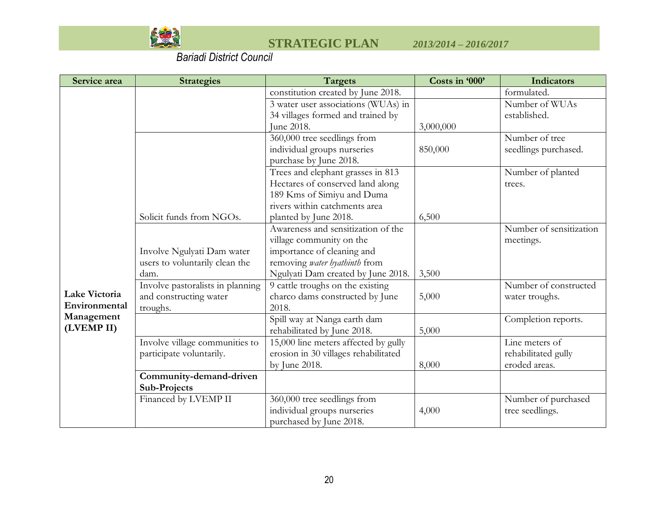

| Service area  | <b>Strategies</b>                | <b>Targets</b>                       | Costs in '000' | <b>Indicators</b>       |
|---------------|----------------------------------|--------------------------------------|----------------|-------------------------|
|               |                                  | constitution created by June 2018.   |                | formulated.             |
|               |                                  | 3 water user associations (WUAs) in  |                | Number of WUAs          |
|               |                                  | 34 villages formed and trained by    |                | established.            |
|               |                                  | June 2018.                           | 3,000,000      |                         |
|               |                                  | 360,000 tree seedlings from          |                | Number of tree          |
|               |                                  | individual groups nurseries          | 850,000        | seedlings purchased.    |
|               |                                  | purchase by June 2018.               |                |                         |
|               |                                  | Trees and elephant grasses in 813    |                | Number of planted       |
|               |                                  | Hectares of conserved land along     |                | trees.                  |
|               |                                  | 189 Kms of Simiyu and Duma           |                |                         |
|               |                                  | rivers within catchments area        |                |                         |
|               | Solicit funds from NGOs.         | planted by June 2018.                | 6,500          |                         |
|               |                                  | Awareness and sensitization of the   |                | Number of sensitization |
|               |                                  | village community on the             |                | meetings.               |
|               | Involve Ngulyati Dam water       | importance of cleaning and           |                |                         |
|               | users to voluntarily clean the   | removing water hyathinth from        |                |                         |
|               | dam.                             | Ngulyati Dam created by June 2018.   | 3,500          |                         |
|               | Involve pastoralists in planning | 9 cattle troughs on the existing     |                | Number of constructed   |
| Lake Victoria | and constructing water           | charco dams constructed by June      | 5,000          | water troughs.          |
| Environmental | troughs.                         | 2018.                                |                |                         |
| Management    |                                  | Spill way at Nanga earth dam         |                | Completion reports.     |
| (LVEMP II)    |                                  | rehabilitated by June 2018.          | 5,000          |                         |
|               | Involve village communities to   | 15,000 line meters affected by gully |                | Line meters of          |
|               | participate voluntarily.         | erosion in 30 villages rehabilitated |                | rehabilitated gully     |
|               |                                  | by June 2018.                        | 8,000          | eroded areas.           |
|               | Community-demand-driven          |                                      |                |                         |
|               | <b>Sub-Projects</b>              |                                      |                |                         |
|               | Financed by LVEMP II             | 360,000 tree seedlings from          |                | Number of purchased     |
|               |                                  | individual groups nurseries          | 4,000          | tree seedlings.         |
|               |                                  | purchased by June 2018.              |                |                         |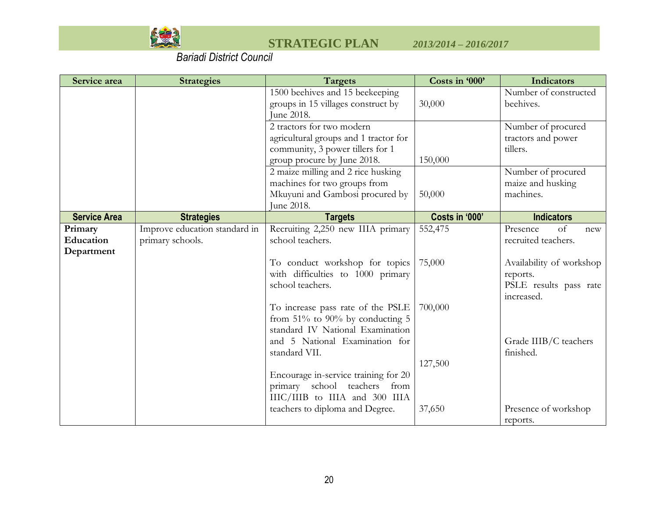

| Service area         | <b>Strategies</b>                                 | <b>Targets</b>                                        | Costs in '000' | <b>Indicators</b>              |
|----------------------|---------------------------------------------------|-------------------------------------------------------|----------------|--------------------------------|
|                      |                                                   | 1500 beehives and 15 beekeeping                       |                | Number of constructed          |
|                      |                                                   | groups in 15 villages construct by                    | 30,000         | beehives.                      |
|                      |                                                   | June 2018.                                            |                |                                |
|                      |                                                   | 2 tractors for two modern                             |                | Number of procured             |
|                      |                                                   | agricultural groups and 1 tractor for                 |                | tractors and power             |
|                      |                                                   | community, 3 power tillers for 1                      |                | tillers.                       |
|                      |                                                   | group procure by June 2018.                           | 150,000        |                                |
|                      |                                                   | 2 maize milling and 2 rice husking                    |                | Number of procured             |
|                      |                                                   | machines for two groups from                          |                | maize and husking<br>machines. |
|                      |                                                   | Mkuyuni and Gambosi procured by<br>June 2018.         | 50,000         |                                |
| <b>Service Area</b>  |                                                   |                                                       | Costs in '000' | <b>Indicators</b>              |
|                      | <b>Strategies</b>                                 | <b>Targets</b>                                        | 552,475        | of<br>Presence                 |
| Primary<br>Education | Improve education standard in<br>primary schools. | Recruiting 2,250 new IIIA primary<br>school teachers. |                | new<br>recruited teachers.     |
| Department           |                                                   |                                                       |                |                                |
|                      |                                                   | To conduct workshop for topics                        | 75,000         | Availability of workshop       |
|                      |                                                   | with difficulties to 1000 primary                     |                | reports.                       |
|                      |                                                   | school teachers.                                      |                | PSLE results pass rate         |
|                      |                                                   |                                                       |                | increased.                     |
|                      |                                                   | To increase pass rate of the PSLE                     | 700,000        |                                |
|                      |                                                   | from $51\%$ to 90% by conducting 5                    |                |                                |
|                      |                                                   | standard IV National Examination                      |                |                                |
|                      |                                                   | and 5 National Examination for                        |                | Grade IIIB/C teachers          |
|                      |                                                   | standard VII.                                         |                | finished.                      |
|                      |                                                   |                                                       | 127,500        |                                |
|                      |                                                   | Encourage in-service training for 20                  |                |                                |
|                      |                                                   | primary school teachers<br>from                       |                |                                |
|                      |                                                   | IIIC/IIIB to IIIA and 300 IIIA                        |                |                                |
|                      |                                                   | teachers to diploma and Degree.                       | 37,650         | Presence of workshop           |
|                      |                                                   |                                                       |                | reports.                       |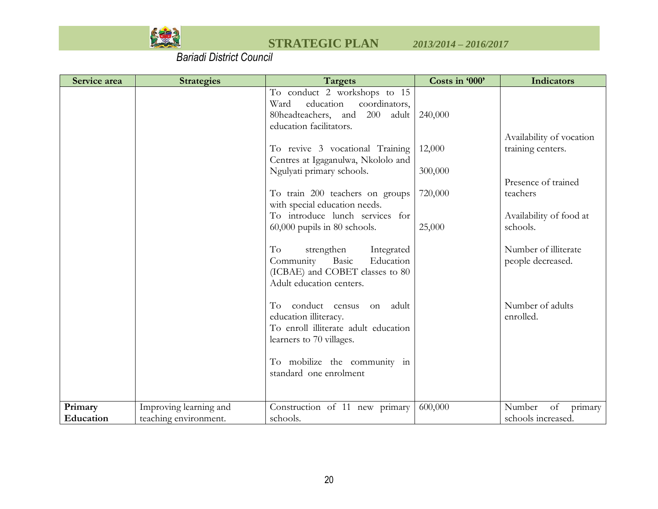

| Service area         | <b>Strategies</b>                               | <b>Targets</b>                                                                                                                                                     | Costs in '000'    | <b>Indicators</b>                                          |
|----------------------|-------------------------------------------------|--------------------------------------------------------------------------------------------------------------------------------------------------------------------|-------------------|------------------------------------------------------------|
|                      |                                                 | To conduct 2 workshops to 15<br>coordinators,<br>Ward<br>education<br>80headteachers, and 200 adult<br>education facilitators.                                     | 240,000           |                                                            |
|                      |                                                 | To revive 3 vocational Training<br>Centres at Igaganulwa, Nkololo and<br>Ngulyati primary schools.                                                                 | 12,000<br>300,000 | Availability of vocation<br>training centers.              |
|                      |                                                 | To train 200 teachers on groups<br>with special education needs.<br>To introduce lunch services for                                                                | 720,000           | Presence of trained<br>teachers<br>Availability of food at |
|                      |                                                 | $60,000$ pupils in 80 schools.<br>To<br>strengthen<br>Integrated<br>Community<br>Basic<br>Education<br>(ICBAE) and COBET classes to 80<br>Adult education centers. | 25,000            | schools.<br>Number of illiterate<br>people decreased.      |
|                      |                                                 | conduct census<br>adult<br>Tо<br>on<br>education illiteracy.<br>To enroll illiterate adult education<br>learners to 70 villages.                                   |                   | Number of adults<br>enrolled.                              |
|                      |                                                 | To mobilize the community in<br>standard one enrolment                                                                                                             |                   |                                                            |
| Primary<br>Education | Improving learning and<br>teaching environment. | Construction of 11 new primary<br>schools.                                                                                                                         | 600,000           | Number<br>of<br>primary<br>schools increased.              |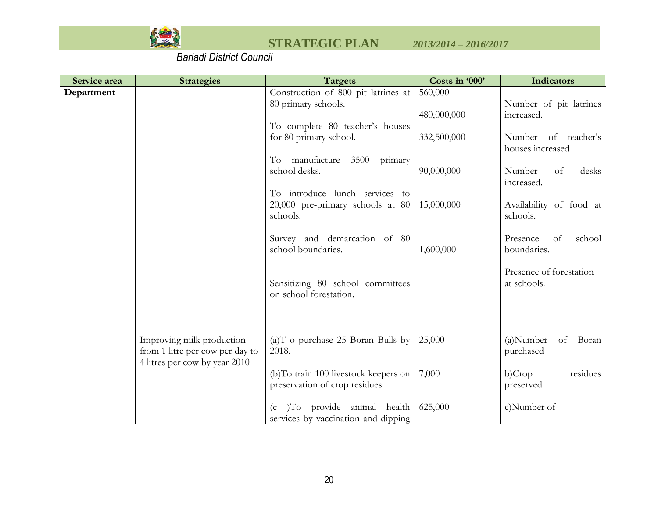

| Service area | <b>Strategies</b>                                                | <b>Targets</b>                                                                       | Costs in '000' | Indicators                              |
|--------------|------------------------------------------------------------------|--------------------------------------------------------------------------------------|----------------|-----------------------------------------|
| Department   |                                                                  | Construction of 800 pit latrines at                                                  | 560,000        |                                         |
|              |                                                                  | 80 primary schools.                                                                  |                | Number of pit latrines                  |
|              |                                                                  |                                                                                      | 480,000,000    | increased.                              |
|              |                                                                  | To complete 80 teacher's houses                                                      |                |                                         |
|              |                                                                  | for 80 primary school.                                                               | 332,500,000    | Number of teacher's<br>houses increased |
|              |                                                                  | primary<br>To manufacture<br>3500                                                    |                |                                         |
|              |                                                                  | school desks.                                                                        | 90,000,000     | Number<br>of<br>desks<br>increased.     |
|              |                                                                  | To introduce lunch services to                                                       |                |                                         |
|              |                                                                  | 20,000 pre-primary schools at 80<br>schools.                                         | 15,000,000     | Availability of food at<br>schools.     |
|              |                                                                  | Survey and demarcation of 80<br>school boundaries.                                   | 1,600,000      | school<br>Presence<br>of<br>boundaries. |
|              |                                                                  | Sensitizing 80 school committees<br>on school forestation.                           |                | Presence of forestation<br>at schools.  |
|              | Improving milk production                                        | (a)T o purchase 25 Boran Bulls by                                                    | 25,000         | Boran<br>of<br>$(a)$ Number             |
|              | from 1 litre per cow per day to<br>4 litres per cow by year 2010 | 2018.                                                                                |                | purchased                               |
|              |                                                                  | (b)To train 100 livestock keepers on<br>preservation of crop residues.               | 7,000          | b)Crop<br>residues<br>preserved         |
|              |                                                                  | To provide animal health<br>(c <sub>1</sub> )<br>services by vaccination and dipping | 625,000        | c)Number of                             |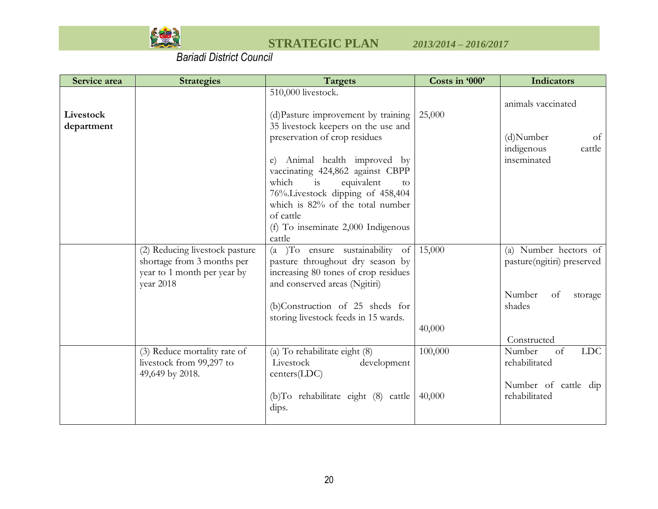

| Service area | <b>Strategies</b>                                         | <b>Targets</b>                                                           | Costs in '000' | Indicators                 |
|--------------|-----------------------------------------------------------|--------------------------------------------------------------------------|----------------|----------------------------|
|              |                                                           | 510,000 livestock.                                                       |                | animals vaccinated         |
| Livestock    |                                                           | (d) Pasture improvement by training                                      | 25,000         |                            |
| department   |                                                           | 35 livestock keepers on the use and                                      |                |                            |
|              |                                                           | preservation of crop residues                                            |                | (d)Number<br>of            |
|              |                                                           |                                                                          |                | indigenous<br>cattle       |
|              |                                                           | e) Animal health improved by                                             |                | inseminated                |
|              |                                                           | vaccinating 424,862 against CBPP                                         |                |                            |
|              |                                                           | which<br>equivalent<br>is<br>to                                          |                |                            |
|              |                                                           | 76%.Livestock dipping of 458,404                                         |                |                            |
|              |                                                           | which is 82% of the total number                                         |                |                            |
|              |                                                           | of cattle                                                                |                |                            |
|              |                                                           | (f) To inseminate 2,000 Indigenous                                       |                |                            |
|              |                                                           | cattle                                                                   |                |                            |
|              | (2) Reducing livestock pasture                            | (a )To ensure sustainability of                                          | 15,000         | (a) Number hectors of      |
|              | shortage from 3 months per<br>year to 1 month per year by | pasture throughout dry season by<br>increasing 80 tones of crop residues |                | pasture(ngitiri) preserved |
|              | year 2018                                                 | and conserved areas (Ngitiri)                                            |                |                            |
|              |                                                           |                                                                          |                | Number<br>of<br>storage    |
|              |                                                           | (b)Construction of 25 sheds for                                          |                | shades                     |
|              |                                                           | storing livestock feeds in 15 wards.                                     |                |                            |
|              |                                                           |                                                                          | 40,000         |                            |
|              |                                                           |                                                                          |                | Constructed                |
|              | (3) Reduce mortality rate of                              | (a) To rehabilitate eight (8)                                            | 100,000        | <b>LDC</b><br>Number<br>of |
|              | livestock from 99,297 to                                  | Livestock<br>development                                                 |                | rehabilitated              |
|              | 49,649 by 2018.                                           | $centers(\text{LDC})$                                                    |                |                            |
|              |                                                           |                                                                          |                | Number of cattle dip       |
|              |                                                           | (b)To rehabilitate eight (8) cattle                                      | 40,000         | rehabilitated              |
|              |                                                           | dips.                                                                    |                |                            |
|              |                                                           |                                                                          |                |                            |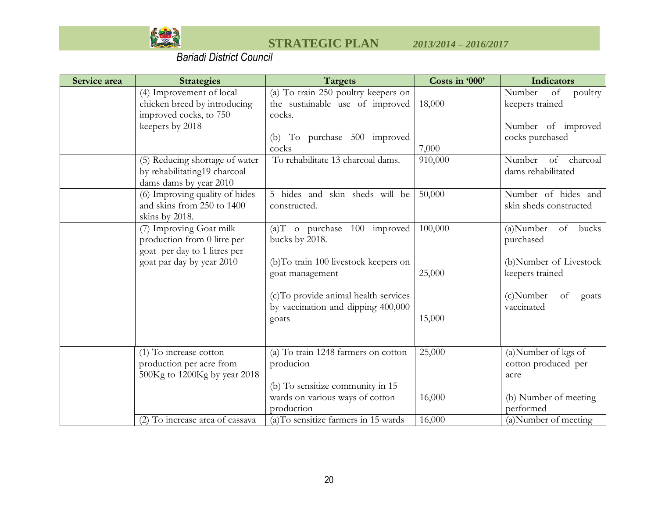

| Service area | <b>Strategies</b>                                                                        | <b>Targets</b>                                                                    | Costs in '000' | Indicators                                     |
|--------------|------------------------------------------------------------------------------------------|-----------------------------------------------------------------------------------|----------------|------------------------------------------------|
|              | (4) Improvement of local<br>chicken breed by introducing<br>improved cocks, to 750       | (a) To train 250 poultry keepers on<br>the sustainable use of improved<br>cocks.  | 18,000         | Number<br>of<br>poultry<br>keepers trained     |
|              | keepers by 2018                                                                          | (b) To purchase 500 improved<br>cocks                                             | 7,000          | Number of improved<br>cocks purchased          |
|              | (5) Reducing shortage of water<br>by rehabilitating19 charcoal<br>dams dams by year 2010 | To rehabilitate 13 charcoal dams.                                                 | 910,000        | Number<br>of<br>charcoal<br>dams rehabilitated |
|              | (6) Improving quality of hides<br>and skins from 250 to 1400<br>skins by 2018.           | 5 hides and skin sheds will be<br>constructed.                                    | 50,000         | Number of hides and<br>skin sheds constructed  |
|              | (7) Improving Goat milk<br>production from 0 litre per<br>goat per day to 1 litres per   | (a)T o purchase 100 improved<br>bucks by 2018.                                    | 100,000        | (a)Number<br>of<br>bucks<br>purchased          |
|              | goat par day by year 2010                                                                | (b)To train 100 livestock keepers on<br>goat management                           | 25,000         | (b)Number of Livestock<br>keepers trained      |
|              |                                                                                          | (c) To provide animal health services<br>by vaccination and dipping 400,000       |                | $(c)$ Number<br>of<br>goats<br>vaccinated      |
|              |                                                                                          | goats                                                                             | 15,000         |                                                |
|              | (1) To increase cotton                                                                   | (a) To train 1248 farmers on cotton<br>producion                                  | 25,000         | (a)Number of kgs of                            |
|              | production per acre from<br>500Kg to 1200Kg by year 2018                                 |                                                                                   |                | cotton produced per<br>acre                    |
|              |                                                                                          | (b) To sensitize community in 15<br>wards on various ways of cotton<br>production | 16,000         | (b) Number of meeting<br>performed             |
|              | (2) To increase area of cassava                                                          | (a)To sensitize farmers in 15 wards                                               | 16,000         | (a) Number of meeting                          |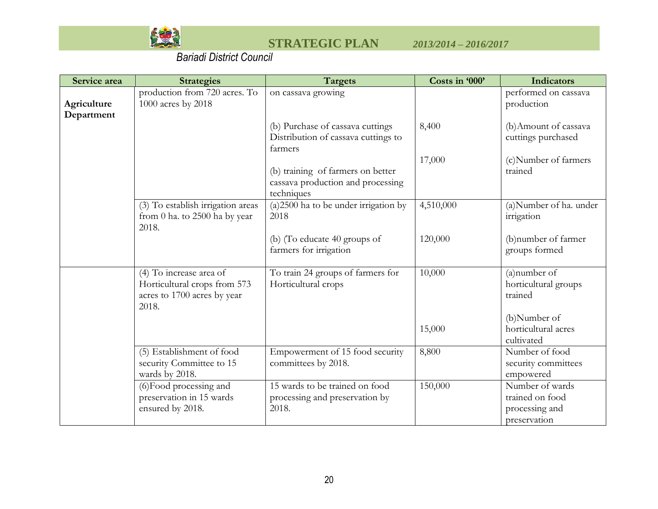

| Service area              | <b>Strategies</b>                                                                               | <b>Targets</b>                                                                       | Costs in '000' | <b>Indicators</b>                                                    |
|---------------------------|-------------------------------------------------------------------------------------------------|--------------------------------------------------------------------------------------|----------------|----------------------------------------------------------------------|
| Agriculture<br>Department | production from 720 acres. To<br>1000 acres by 2018                                             | on cassava growing                                                                   |                | performed on cassava<br>production                                   |
|                           |                                                                                                 | (b) Purchase of cassava cuttings<br>Distribution of cassava cuttings to<br>farmers   | 8,400          | (b) Amount of cassava<br>cuttings purchased                          |
|                           |                                                                                                 | (b) training of farmers on better<br>cassava production and processing<br>techniques | 17,000         | (c)Number of farmers<br>trained                                      |
|                           | (3) To establish irrigation areas<br>from 0 ha. to 2500 ha by year<br>2018.                     | $(a)$ 2500 ha to be under irrigation by<br>2018                                      | 4,510,000      | (a)Number of ha. under<br>irrigation                                 |
|                           |                                                                                                 | (b) (To educate 40 groups of<br>farmers for irrigation                               | 120,000        | (b) number of farmer<br>groups formed                                |
|                           | (4) To increase area of<br>Horticultural crops from 573<br>acres to 1700 acres by year<br>2018. | To train 24 groups of farmers for<br>Horticultural crops                             | 10,000         | (a) number of<br>horticultural groups<br>trained                     |
|                           |                                                                                                 |                                                                                      | 15,000         | (b)Number of<br>horticultural acres<br>cultivated                    |
|                           | (5) Establishment of food<br>security Committee to 15<br>wards by 2018.                         | Empowerment of 15 food security<br>committees by 2018.                               | 8,800          | Number of food<br>security committees<br>empowered                   |
|                           | (6) Food processing and<br>preservation in 15 wards<br>ensured by 2018.                         | 15 wards to be trained on food<br>processing and preservation by<br>2018.            | 150,000        | Number of wards<br>trained on food<br>processing and<br>preservation |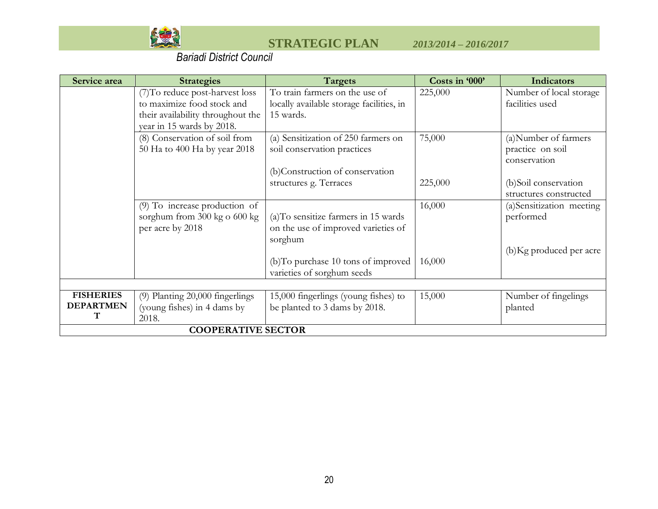

| Service area     | <b>Strategies</b>                 | <b>Targets</b>                           | Costs in '000' | <b>Indicators</b>        |
|------------------|-----------------------------------|------------------------------------------|----------------|--------------------------|
|                  | (7) To reduce post-harvest loss   | To train farmers on the use of           | 225,000        | Number of local storage  |
|                  | to maximize food stock and        | locally available storage facilities, in |                | facilities used          |
|                  | their availability throughout the | 15 wards.                                |                |                          |
|                  | year in 15 wards by 2018.         |                                          |                |                          |
|                  | (8) Conservation of soil from     | (a) Sensitization of 250 farmers on      | 75,000         | (a) Number of farmers    |
|                  | 50 Ha to 400 Ha by year 2018      | soil conservation practices              |                | practice on soil         |
|                  |                                   |                                          |                | conservation             |
|                  |                                   | (b)Construction of conservation          |                |                          |
|                  |                                   | structures g. Terraces                   | 225,000        | (b)Soil conservation     |
|                  |                                   |                                          |                | structures constructed   |
|                  | $(9)$ To increase production of   |                                          | 16,000         | (a)Sensitization meeting |
|                  | sorghum from 300 kg o 600 kg      | (a)To sensitize farmers in 15 wards      |                | performed                |
|                  | per acre by 2018                  | on the use of improved varieties of      |                |                          |
|                  |                                   | sorghum                                  |                |                          |
|                  |                                   |                                          |                | (b) Kg produced per acre |
|                  |                                   | (b)To purchase 10 tons of improved       | 16,000         |                          |
|                  |                                   | varieties of sorghum seeds               |                |                          |
|                  |                                   |                                          |                |                          |
| <b>FISHERIES</b> | (9) Planting 20,000 fingerlings   | 15,000 fingerlings (young fishes) to     | 15,000         | Number of fingelings     |
| <b>DEPARTMEN</b> | (young fishes) in 4 dams by       | be planted to 3 dams by 2018.            |                | planted                  |
| т                | 2018.                             |                                          |                |                          |
|                  | <b>COOPERATIVE SECTOR</b>         |                                          |                |                          |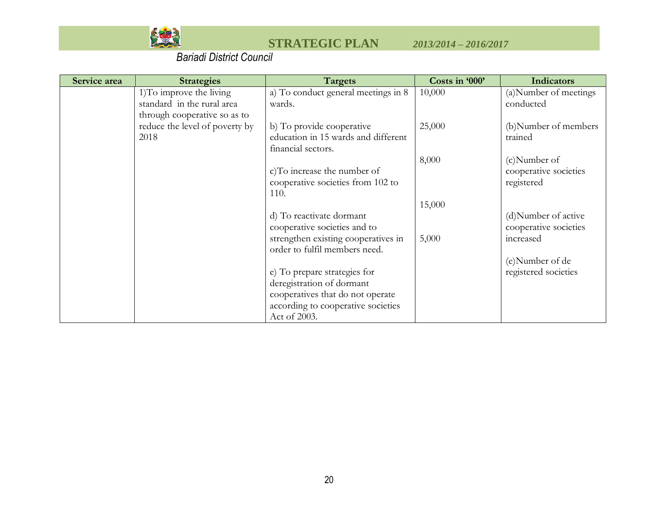

| <b>Targets</b>                      | Costs in '000'                                                                                                                                                                                                                                                                                                                                                                                                                                                | Indicators                         |
|-------------------------------------|---------------------------------------------------------------------------------------------------------------------------------------------------------------------------------------------------------------------------------------------------------------------------------------------------------------------------------------------------------------------------------------------------------------------------------------------------------------|------------------------------------|
| a) To conduct general meetings in 8 | 10,000                                                                                                                                                                                                                                                                                                                                                                                                                                                        | (a) Number of meetings             |
| wards.                              |                                                                                                                                                                                                                                                                                                                                                                                                                                                               | conducted                          |
|                                     |                                                                                                                                                                                                                                                                                                                                                                                                                                                               |                                    |
|                                     |                                                                                                                                                                                                                                                                                                                                                                                                                                                               | (b)Number of members               |
|                                     |                                                                                                                                                                                                                                                                                                                                                                                                                                                               | trained                            |
|                                     |                                                                                                                                                                                                                                                                                                                                                                                                                                                               |                                    |
|                                     |                                                                                                                                                                                                                                                                                                                                                                                                                                                               | (c)Number of                       |
|                                     |                                                                                                                                                                                                                                                                                                                                                                                                                                                               | cooperative societies              |
|                                     |                                                                                                                                                                                                                                                                                                                                                                                                                                                               | registered                         |
|                                     |                                                                                                                                                                                                                                                                                                                                                                                                                                                               |                                    |
|                                     |                                                                                                                                                                                                                                                                                                                                                                                                                                                               |                                    |
|                                     |                                                                                                                                                                                                                                                                                                                                                                                                                                                               | (d) Number of active               |
|                                     |                                                                                                                                                                                                                                                                                                                                                                                                                                                               | cooperative societies              |
|                                     |                                                                                                                                                                                                                                                                                                                                                                                                                                                               | increased                          |
|                                     |                                                                                                                                                                                                                                                                                                                                                                                                                                                               | (e)Number of de                    |
|                                     |                                                                                                                                                                                                                                                                                                                                                                                                                                                               | registered societies               |
|                                     |                                                                                                                                                                                                                                                                                                                                                                                                                                                               |                                    |
|                                     |                                                                                                                                                                                                                                                                                                                                                                                                                                                               |                                    |
|                                     |                                                                                                                                                                                                                                                                                                                                                                                                                                                               |                                    |
|                                     |                                                                                                                                                                                                                                                                                                                                                                                                                                                               |                                    |
|                                     | b) To provide cooperative<br>education in 15 wards and different<br>financial sectors.<br>c)To increase the number of<br>cooperative societies from 102 to<br>110.<br>d) To reactivate dormant<br>cooperative societies and to<br>strengthen existing cooperatives in<br>order to fulfil members need.<br>e) To prepare strategies for<br>deregistration of dormant<br>cooperatives that do not operate<br>according to cooperative societies<br>Act of 2003. | 25,000<br>8,000<br>15,000<br>5,000 |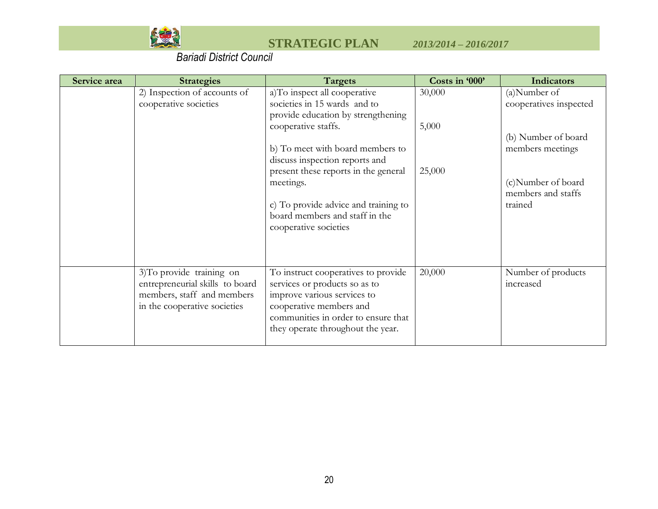

| Service area | <b>Strategies</b>                                                                                                          | Targets                                                                                                                                                                                                                                                                                                                                                 | Costs in '000'            | <b>Indicators</b>                                                                                                                        |
|--------------|----------------------------------------------------------------------------------------------------------------------------|---------------------------------------------------------------------------------------------------------------------------------------------------------------------------------------------------------------------------------------------------------------------------------------------------------------------------------------------------------|---------------------------|------------------------------------------------------------------------------------------------------------------------------------------|
|              | 2) Inspection of accounts of<br>cooperative societies                                                                      | a)To inspect all cooperative<br>societies in 15 wards and to<br>provide education by strengthening<br>cooperative staffs.<br>b) To meet with board members to<br>discuss inspection reports and<br>present these reports in the general<br>meetings.<br>c) To provide advice and training to<br>board members and staff in the<br>cooperative societies | 30,000<br>5,000<br>25,000 | (a)Number of<br>cooperatives inspected<br>(b) Number of board<br>members meetings<br>(c)Number of board<br>members and staffs<br>trained |
|              | 3) To provide training on<br>entrepreneurial skills to board<br>members, staff and members<br>in the cooperative societies | To instruct cooperatives to provide<br>services or products so as to<br>improve various services to<br>cooperative members and<br>communities in order to ensure that<br>they operate throughout the year.                                                                                                                                              | 20,000                    | Number of products<br>increased                                                                                                          |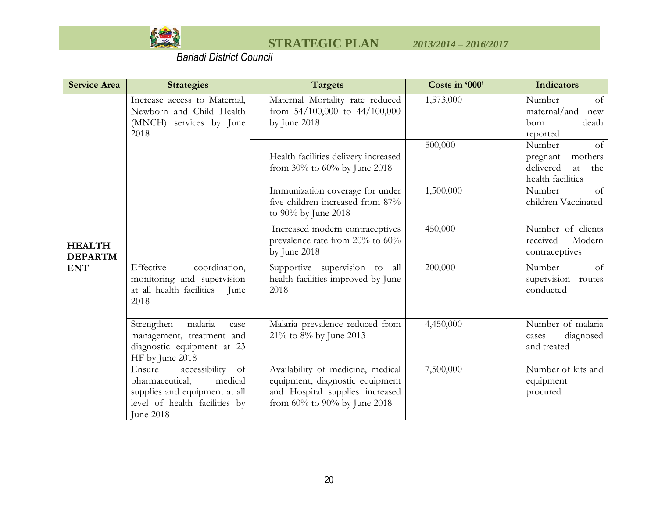

| <b>Service Area</b>             | <b>Strategies</b>                                                                                                                          | <b>Targets</b>                                                                                                                          | Costs in '000' | <b>Indicators</b>                                                                  |
|---------------------------------|--------------------------------------------------------------------------------------------------------------------------------------------|-----------------------------------------------------------------------------------------------------------------------------------------|----------------|------------------------------------------------------------------------------------|
|                                 | Increase access to Maternal,<br>Newborn and Child Health<br>(MNCH) services by June<br>2018                                                | Maternal Mortality rate reduced<br>from $54/100,000$ to $44/100,000$<br>by June 2018                                                    | 1,573,000      | Number<br>of<br>maternal/and<br>new<br>born<br>death<br>reported                   |
|                                 |                                                                                                                                            | Health facilities delivery increased<br>from $30\%$ to $60\%$ by June 2018                                                              | 500,000        | Number<br>of<br>mothers<br>pregnant<br>delivered<br>at<br>the<br>health facilities |
|                                 |                                                                                                                                            | Immunization coverage for under<br>five children increased from 87%<br>to 90% by June 2018                                              | 1,500,000      | Number<br>of<br>children Vaccinated                                                |
| <b>HEALTH</b><br><b>DEPARTM</b> |                                                                                                                                            | Increased modern contraceptives<br>prevalence rate from 20% to 60%<br>by June 2018                                                      | 450,000        | Number of clients<br>received<br>Modern<br>contraceptives                          |
| <b>ENT</b>                      | Effective<br>coordination,<br>monitoring and supervision<br>at all health facilities<br>June<br>2018                                       | Supportive supervision to<br>all<br>health facilities improved by June<br>2018                                                          | 200,000        | Number<br>of<br>supervision routes<br>conducted                                    |
|                                 | malaria<br>Strengthen<br>case<br>management, treatment and<br>diagnostic equipment at 23<br>HF by June 2018                                | Malaria prevalence reduced from<br>21% to 8% by June 2013                                                                               | 4,450,000      | Number of malaria<br>diagnosed<br>cases<br>and treated                             |
|                                 | accessibility<br>of<br>Ensure<br>pharmaceutical,<br>medical<br>supplies and equipment at all<br>level of health facilities by<br>June 2018 | Availability of medicine, medical<br>equipment, diagnostic equipment<br>and Hospital supplies increased<br>from 60% to 90% by June 2018 | 7,500,000      | Number of kits and<br>equipment<br>procured                                        |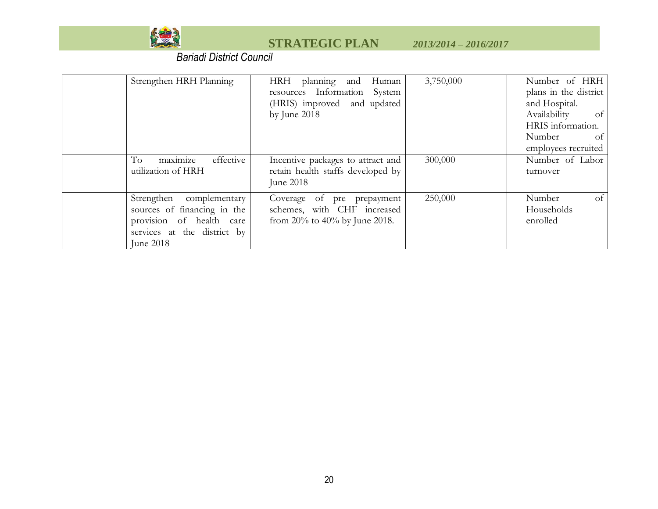

| Strengthen HRH Planning                                                                                                               | planning and<br>HRH<br>Human<br>resources Information System<br>(HRIS) improved and updated<br>by June 2018 | 3,750,000 | Number of HRH<br>plans in the district<br>and Hospital.<br>$\sigma$ f<br>Availability<br>HRIS information.<br>Number<br>of<br>employees recruited |
|---------------------------------------------------------------------------------------------------------------------------------------|-------------------------------------------------------------------------------------------------------------|-----------|---------------------------------------------------------------------------------------------------------------------------------------------------|
| maximize<br>To<br>effective<br>utilization of HRH                                                                                     | Incentive packages to attract and<br>retain health staffs developed by<br>June 2018                         | 300,000   | Number of Labor<br>turnover                                                                                                                       |
| Strengthen<br>complementary<br>sources of financing in the<br>provision of health<br>care<br>services at the district by<br>June 2018 | Coverage of pre prepayment<br>schemes, with CHF increased<br>from 20% to 40% by June 2018.                  | 250,000   | of<br>Number<br>Households<br>enrolled                                                                                                            |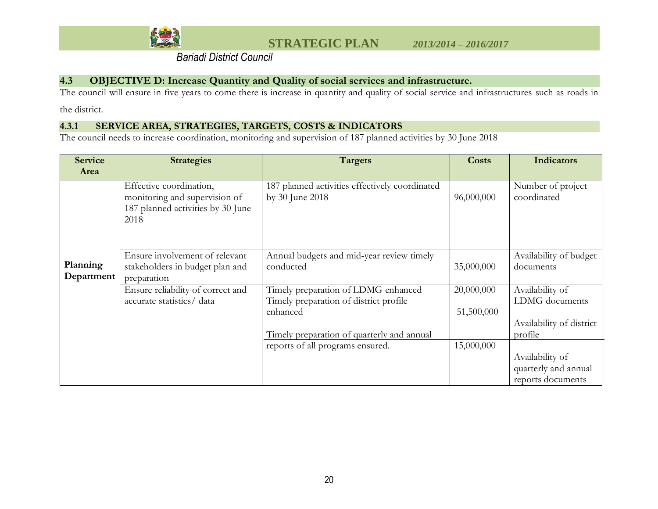

### **4.3 OBJECTIVE D: Increase Quantity and Quality of social services and infrastructure.**

The council will ensure in five years to come there is increase in quantity and quality of social service and infrastructures such as roads in

the district.

### **4.3.1 SERVICE AREA, STRATEGIES, TARGETS, COSTS & INDICATORS**

The council needs to increase coordination, monitoring and supervision of 187 planned activities by 30 June 2018

<span id="page-41-0"></span>

| <b>Service</b>         | <b>Strategies</b>                                                                                     | Targets                                                                       | <b>Costs</b> | <b>Indicators</b>                                            |
|------------------------|-------------------------------------------------------------------------------------------------------|-------------------------------------------------------------------------------|--------------|--------------------------------------------------------------|
| Area                   |                                                                                                       |                                                                               |              |                                                              |
|                        | Effective coordination,<br>monitoring and supervision of<br>187 planned activities by 30 June<br>2018 | 187 planned activities effectively coordinated<br>by 30 June 2018             | 96,000,000   | Number of project<br>coordinated                             |
| Planning<br>Department | Ensure involvement of relevant<br>stakeholders in budget plan and<br>preparation                      | Annual budgets and mid-year review timely<br>conducted                        | 35,000,000   | Availability of budget<br>documents                          |
|                        | Ensure reliability of correct and<br>accurate statistics/data                                         | Timely preparation of LDMG enhanced<br>Timely preparation of district profile | 20,000,000   | Availability of<br>LDMG documents                            |
|                        |                                                                                                       | enhanced                                                                      | 51,500,000   |                                                              |
|                        |                                                                                                       | Timely preparation of quarterly and annual                                    |              | Availability of district<br>profile                          |
|                        |                                                                                                       | reports of all programs ensured.                                              | 15,000,000   | Availability of<br>quarterly and annual<br>reports documents |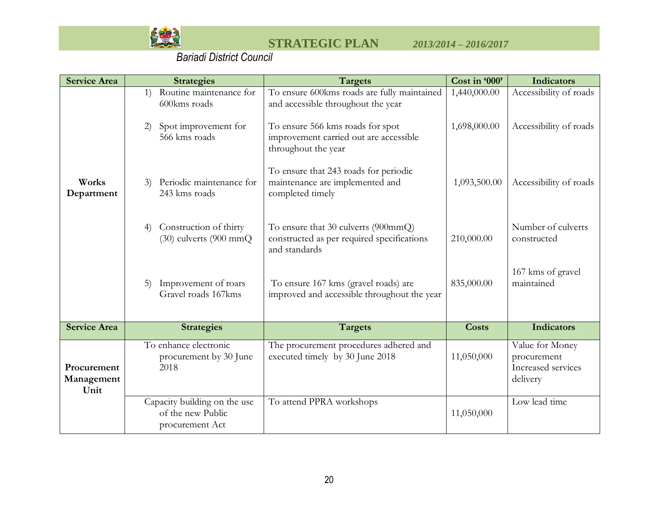

| <b>Service Area</b>               | <b>Strategies</b>                                                                            | <b>Targets</b>                                                                                                                                                                         | Cost in '000'                | <b>Indicators</b>                                                |
|-----------------------------------|----------------------------------------------------------------------------------------------|----------------------------------------------------------------------------------------------------------------------------------------------------------------------------------------|------------------------------|------------------------------------------------------------------|
|                                   | Routine maintenance for<br>1)<br>600kms roads<br>Spot improvement for<br>2)<br>566 kms roads | To ensure 600kms roads are fully maintained<br>and accessible throughout the year<br>To ensure 566 kms roads for spot<br>improvement carried out are accessible<br>throughout the year | 1,440,000.00<br>1,698,000.00 | Accessibility of roads<br>Accessibility of roads                 |
| Works<br>Department               | Periodic maintenance for<br>3)<br>243 kms roads                                              | To ensure that 243 roads for periodic<br>maintenance are implemented and<br>completed timely                                                                                           | 1,093,500.00                 | Accessibility of roads                                           |
|                                   | Construction of thirty<br>4)<br>(30) culverts (900 mmQ                                       | To ensure that 30 culverts (900mmQ)<br>constructed as per required specifications<br>and standards                                                                                     | 210,000.00                   | Number of culverts<br>constructed                                |
|                                   | Improvement of roars<br>5)<br>Gravel roads 167kms                                            | To ensure 167 kms (gravel roads) are<br>improved and accessible throughout the year                                                                                                    | 835,000.00                   | 167 kms of gravel<br>maintained                                  |
| <b>Service Area</b>               | <b>Strategies</b>                                                                            | <b>Targets</b>                                                                                                                                                                         | <b>Costs</b>                 | <b>Indicators</b>                                                |
| Procurement<br>Management<br>Unit | To enhance electronic<br>procurement by 30 June<br>2018                                      | The procurement procedures adhered and<br>executed timely by 30 June 2018                                                                                                              | 11,050,000                   | Value for Money<br>procurement<br>Increased services<br>delivery |
|                                   | Capacity building on the use<br>of the new Public<br>procurement Act                         | To attend PPRA workshops                                                                                                                                                               | 11,050,000                   | Low lead time                                                    |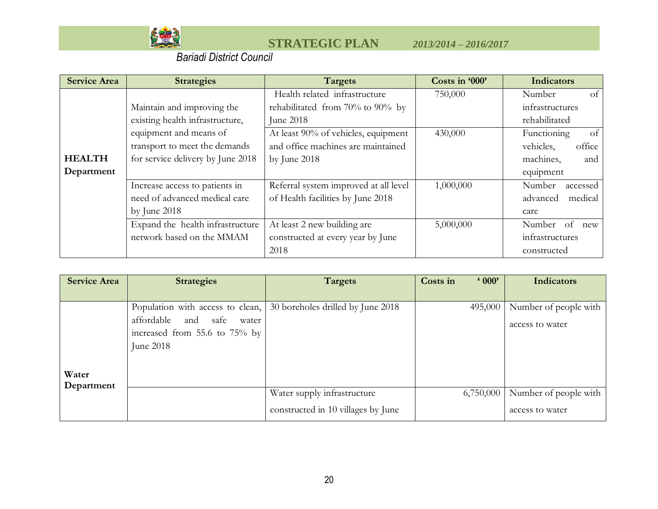

| <b>Service Area</b> | <b>Strategies</b>                 | Targets                                | Costs in '000' | <b>Indicators</b>            |
|---------------------|-----------------------------------|----------------------------------------|----------------|------------------------------|
|                     |                                   | Health related infrastructure          | 750,000        | of<br>Number                 |
|                     | Maintain and improving the        | rehabilitated from $70\%$ to $90\%$ by |                | infrastructures              |
|                     | existing health infrastructure,   | June 2018                              |                | rehabilitated                |
|                     | equipment and means of            | At least 90% of vehicles, equipment    | 430,000        | Functioning<br><sub>of</sub> |
|                     | transport to meet the demands     | and office machines are maintained     |                | vehicles,<br>office          |
| <b>HEALTH</b>       | for service delivery by June 2018 | by June $2018$                         |                | machines,<br>and             |
| Department          |                                   |                                        |                | equipment                    |
|                     | Increase access to patients in    | Referral system improved at all level  | 1,000,000      | Number<br>accessed           |
|                     | need of advanced medical care     | of Health facilities by June 2018      |                | medical<br>advanced          |
|                     | by June $2018$                    |                                        |                | care                         |
|                     | Expand the health infrastructure  | At least 2 new building are            | 5,000,000      | Number of<br>new             |
|                     | network based on the MMAM         | constructed at every year by June      |                | infrastructures              |
|                     |                                   | 2018                                   |                | constructed                  |

| <b>Service Area</b> | <b>Strategies</b>                                                          | Targets                            | $000$ '<br>Costs in | <b>Indicators</b>     |
|---------------------|----------------------------------------------------------------------------|------------------------------------|---------------------|-----------------------|
|                     |                                                                            |                                    |                     |                       |
|                     | Population with access to clean,                                           | 30 boreholes drilled by June 2018  | 495,000             | Number of people with |
| Water               | affordable and safe<br>water<br>increased from 55.6 to 75% by<br>June 2018 |                                    |                     | access to water       |
| Department          |                                                                            | Water supply infrastructure        | 6,750,000           | Number of people with |
|                     |                                                                            | constructed in 10 villages by June |                     | access to water       |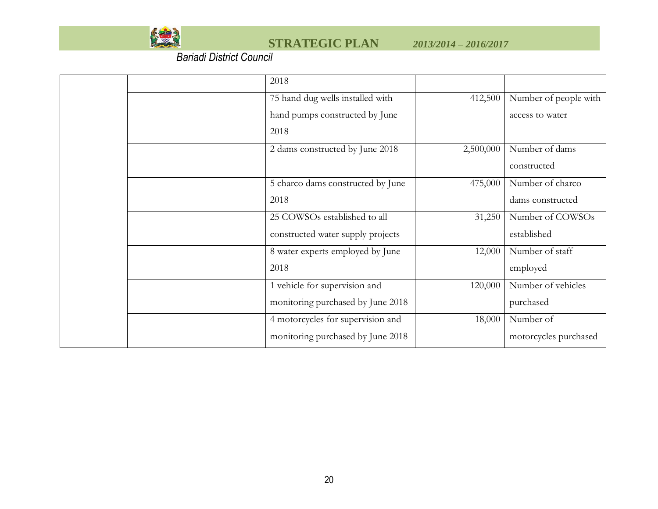

|  | 2018                              |           |                       |
|--|-----------------------------------|-----------|-----------------------|
|  | 75 hand dug wells installed with  | 412,500   | Number of people with |
|  | hand pumps constructed by June    |           | access to water       |
|  | 2018                              |           |                       |
|  | 2 dams constructed by June 2018   | 2,500,000 | Number of dams        |
|  |                                   |           | constructed           |
|  | 5 charco dams constructed by June | 475,000   | Number of charco      |
|  | 2018                              |           | dams constructed      |
|  | 25 COWSOs established to all      | 31,250    | Number of COWSOs      |
|  | constructed water supply projects |           | established           |
|  | 8 water experts employed by June  | 12,000    | Number of staff       |
|  | 2018                              |           | employed              |
|  | 1 vehicle for supervision and     | 120,000   | Number of vehicles    |
|  | monitoring purchased by June 2018 |           | purchased             |
|  | 4 motorcycles for supervision and | 18,000    | Number of             |
|  | monitoring purchased by June 2018 |           | motorcycles purchased |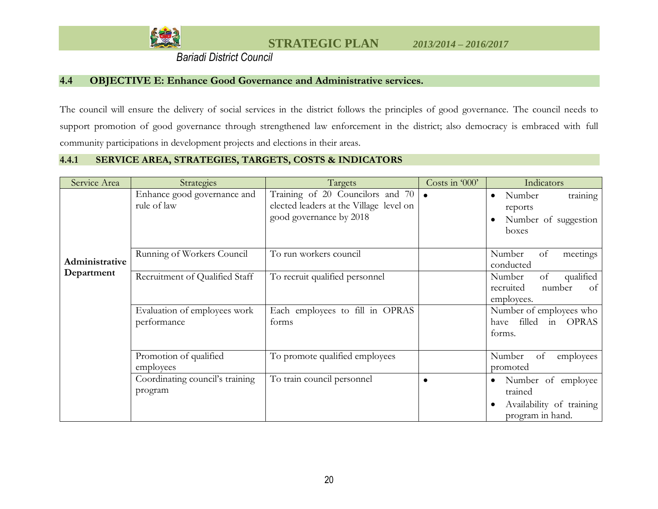

### **4.4 OBJECTIVE E: Enhance Good Governance and Administrative services.**

The council will ensure the delivery of social services in the district follows the principles of good governance. The council needs to support promotion of good governance through strengthened law enforcement in the district; also democracy is embraced with full community participations in development projects and elections in their areas.

#### **4.4.1 SERVICE AREA, STRATEGIES, TARGETS, COSTS & INDICATORS**

<span id="page-45-0"></span>

| Service Area   | Strategies                                  | Targets                                                                                                | Costs in '000' | Indicators                                                                                              |
|----------------|---------------------------------------------|--------------------------------------------------------------------------------------------------------|----------------|---------------------------------------------------------------------------------------------------------|
|                | Enhance good governance and<br>rule of law  | Training of 20 Councilors and 70<br>elected leaders at the Village level on<br>good governance by 2018 | $\bullet$      | training<br>Number<br>$\bullet$<br>reports<br>Number of suggestion<br>boxes                             |
| Administrative | Running of Workers Council                  | To run workers council                                                                                 |                | Number<br>of<br>meetings<br>conducted                                                                   |
| Department     | Recruitment of Qualified Staff              | To recruit qualified personnel                                                                         |                | of<br>qualified<br>Number<br>number<br>recruited<br>of<br>employees.                                    |
|                | Evaluation of employees work<br>performance | Each employees to fill in OPRAS<br>forms                                                               |                | Number of employees who<br>filled<br>in<br><b>OPRAS</b><br>have<br>forms.                               |
|                | Promotion of qualified<br>employees         | To promote qualified employees                                                                         |                | Number<br>of<br>employees<br>promoted                                                                   |
|                | Coordinating council's training<br>program  | To train council personnel                                                                             |                | Number of employee<br>$\bullet$<br>trained<br>Availability of training<br>$\bullet$<br>program in hand. |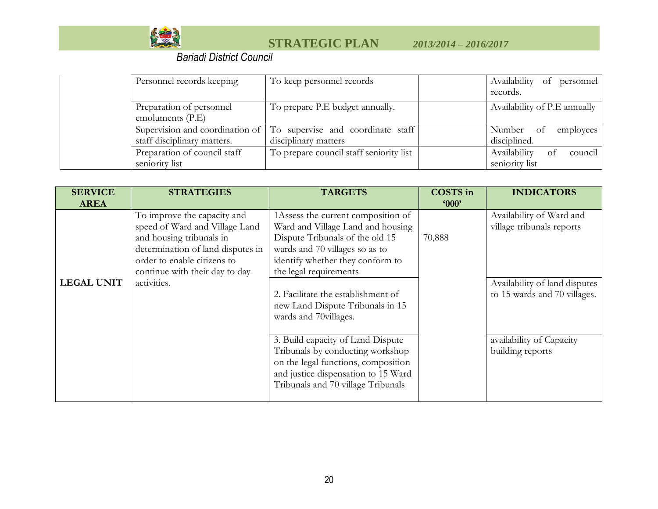

| Personnel records keeping                      | To keep personnel records                                                                     | Availability of personnel<br>records.           |
|------------------------------------------------|-----------------------------------------------------------------------------------------------|-------------------------------------------------|
| Preparation of personnel<br>emoluments $(P.E)$ | To prepare P.E budget annually.                                                               | Availability of P.E annually                    |
| staff disciplinary matters.                    | Supervision and coordination of   To supervise and coordinate staff  <br>disciplinary matters | Number of<br>employees<br>disciplined.          |
| Preparation of council staff<br>seniority list | To prepare council staff seniority list                                                       | Availability<br>council<br>οt<br>seniority list |

| <b>SERVICE</b>    | <b>STRATEGIES</b>                                             | <b>TARGETS</b>                                                                                                   | <b>COSTS</b> in | <b>INDICATORS</b>                                     |
|-------------------|---------------------------------------------------------------|------------------------------------------------------------------------------------------------------------------|-----------------|-------------------------------------------------------|
| <b>AREA</b>       |                                                               |                                                                                                                  | '000'           |                                                       |
|                   | To improve the capacity and<br>speed of Ward and Village Land | 1Assess the current composition of<br>Ward and Village Land and housing                                          |                 | Availability of Ward and<br>village tribunals reports |
|                   | and housing tribunals in                                      | Dispute Tribunals of the old 15                                                                                  | 70,888          |                                                       |
|                   | determination of land disputes in                             | wards and 70 villages so as to                                                                                   |                 |                                                       |
|                   | order to enable citizens to                                   | identify whether they conform to                                                                                 |                 |                                                       |
|                   | continue with their day to day                                | the legal requirements                                                                                           |                 |                                                       |
| <b>LEGAL UNIT</b> | activities.                                                   |                                                                                                                  |                 | Availability of land disputes                         |
|                   |                                                               | 2. Facilitate the establishment of<br>new Land Dispute Tribunals in 15<br>wards and 70villages.                  |                 | to 15 wards and 70 villages.                          |
|                   |                                                               |                                                                                                                  |                 |                                                       |
|                   |                                                               | 3. Build capacity of Land Dispute                                                                                |                 | availability of Capacity                              |
|                   |                                                               | Tribunals by conducting workshop                                                                                 |                 | building reports                                      |
|                   |                                                               | on the legal functions, composition<br>and justice dispensation to 15 Ward<br>Tribunals and 70 village Tribunals |                 |                                                       |
|                   |                                                               |                                                                                                                  |                 |                                                       |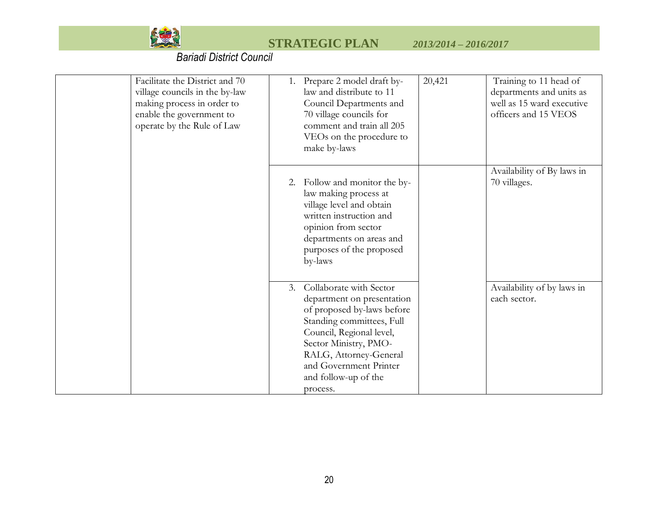

| Facilitate the District and 70<br>village councils in the by-law<br>making process in order to<br>enable the government to<br>operate by the Rule of Law | 20,421<br>1. Prepare 2 model draft by-<br>Training to 11 head of<br>law and distribute to 11<br>departments and units as<br>well as 15 ward executive<br>Council Departments and<br>70 village councils for<br>officers and 15 VEOS<br>comment and train all 205<br>VEOs on the procedure to<br>make by-laws      |  |
|----------------------------------------------------------------------------------------------------------------------------------------------------------|-------------------------------------------------------------------------------------------------------------------------------------------------------------------------------------------------------------------------------------------------------------------------------------------------------------------|--|
|                                                                                                                                                          | Availability of By laws in<br>70 villages.<br>Follow and monitor the by-<br>2.<br>law making process at<br>village level and obtain<br>written instruction and<br>opinion from sector<br>departments on areas and<br>purposes of the proposed<br>by-laws                                                          |  |
|                                                                                                                                                          | Collaborate with Sector<br>Availability of by laws in<br>3.<br>department on presentation<br>each sector.<br>of proposed by-laws before<br>Standing committees, Full<br>Council, Regional level,<br>Sector Ministry, PMO-<br>RALG, Attorney-General<br>and Government Printer<br>and follow-up of the<br>process. |  |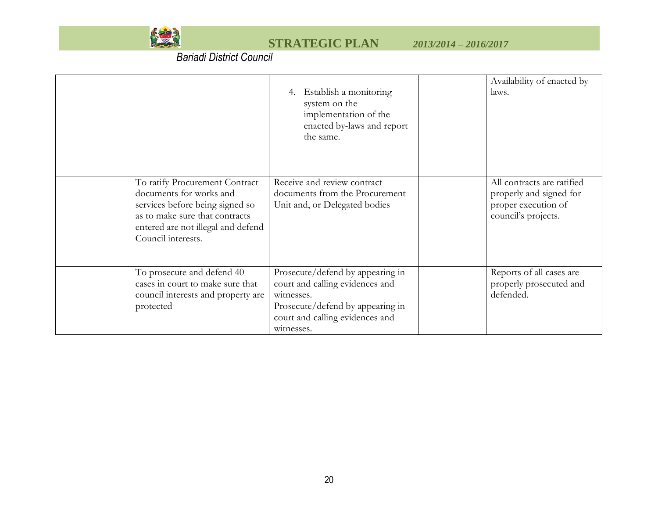

|                                                                                                                                                                                            | Establish a monitoring<br>system on the<br>implementation of the<br>enacted by-laws and report<br>the same.                                                            | Availability of enacted by<br>laws.                                                                 |
|--------------------------------------------------------------------------------------------------------------------------------------------------------------------------------------------|------------------------------------------------------------------------------------------------------------------------------------------------------------------------|-----------------------------------------------------------------------------------------------------|
| To ratify Procurement Contract<br>documents for works and<br>services before being signed so<br>as to make sure that contracts<br>entered are not illegal and defend<br>Council interests. | Receive and review contract<br>documents from the Procurement<br>Unit and, or Delegated bodies                                                                         | All contracts are ratified<br>properly and signed for<br>proper execution of<br>council's projects. |
| To prosecute and defend 40<br>cases in court to make sure that<br>council interests and property are<br>protected                                                                          | Prosecute/defend by appearing in<br>court and calling evidences and<br>witnesses.<br>Prosecute/defend by appearing in<br>court and calling evidences and<br>witnesses. | Reports of all cases are<br>properly prosecuted and<br>defended.                                    |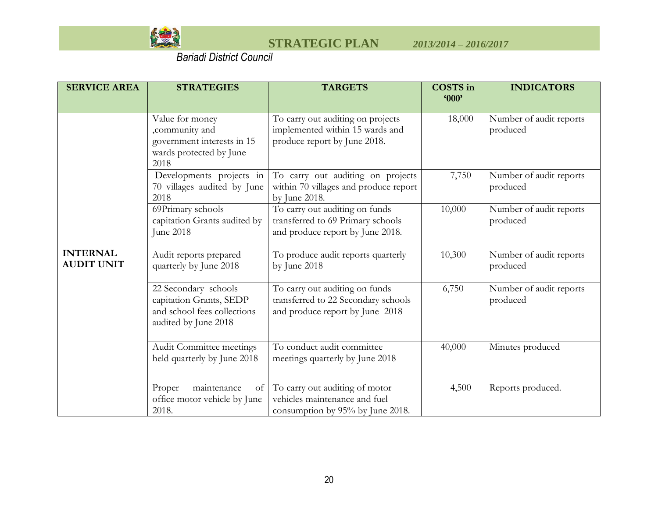

| <b>SERVICE AREA</b>                  | <b>STRATEGIES</b>                                                                                      | <b>TARGETS</b>                                                                                           | <b>COSTS</b> in<br><b>'000'</b> | <b>INDICATORS</b>                   |
|--------------------------------------|--------------------------------------------------------------------------------------------------------|----------------------------------------------------------------------------------------------------------|---------------------------------|-------------------------------------|
|                                      | Value for money<br>,community and<br>government interests in 15<br>wards protected by June<br>2018     | To carry out auditing on projects<br>implemented within 15 wards and<br>produce report by June 2018.     | 18,000                          | Number of audit reports<br>produced |
|                                      | Developments projects in<br>70 villages audited by June<br>2018                                        | To carry out auditing on projects<br>within 70 villages and produce report<br>by June 2018.              | 7,750                           | Number of audit reports<br>produced |
|                                      | 69Primary schools<br>capitation Grants audited by<br>June 2018                                         | To carry out auditing on funds<br>transferred to 69 Primary schools<br>and produce report by June 2018.  | 10,000                          | Number of audit reports<br>produced |
| <b>INTERNAL</b><br><b>AUDIT UNIT</b> | Audit reports prepared<br>quarterly by June 2018                                                       | To produce audit reports quarterly<br>by June 2018                                                       | 10,300                          | Number of audit reports<br>produced |
|                                      | 22 Secondary schools<br>capitation Grants, SEDP<br>and school fees collections<br>audited by June 2018 | To carry out auditing on funds<br>transferred to 22 Secondary schools<br>and produce report by June 2018 | 6,750                           | Number of audit reports<br>produced |
|                                      | Audit Committee meetings<br>held quarterly by June 2018                                                | To conduct audit committee<br>meetings quarterly by June 2018                                            | 40,000                          | Minutes produced                    |
|                                      | maintenance<br>Proper<br>οf<br>office motor vehicle by June<br>2018.                                   | To carry out auditing of motor<br>vehicles maintenance and fuel<br>consumption by 95% by June 2018.      | 4,500                           | Reports produced.                   |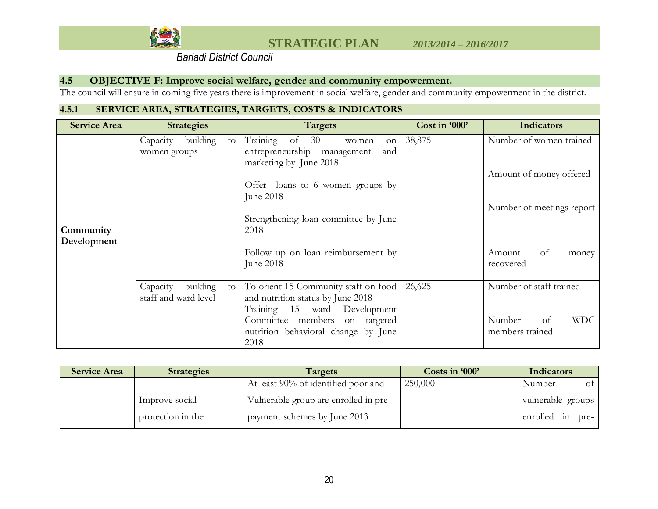

### **4.5 OBJECTIVE F: Improve social welfare, gender and community empowerment.**

The council will ensure in coming five years there is improvement in social welfare, gender and community empowerment in the district.

## **4.5.1 SERVICE AREA, STRATEGIES, TARGETS, COSTS & INDICATORS**

<span id="page-50-0"></span>

| <b>Service Area</b>      | <b>Strategies</b>                                  | <b>Targets</b>                                                                                                                                                                                      | Cost in '000' | <b>Indicators</b>                                                               |
|--------------------------|----------------------------------------------------|-----------------------------------------------------------------------------------------------------------------------------------------------------------------------------------------------------|---------------|---------------------------------------------------------------------------------|
| Community<br>Development | building<br>Capacity<br>to<br>women groups         | Training<br>of $30$<br>women<br>on<br>entrepreneurship management<br>and<br>marketing by June 2018<br>Offer loans to 6 women groups by<br>June 2018<br>Strengthening loan committee by June<br>2018 | 38,875        | Number of women trained<br>Amount of money offered<br>Number of meetings report |
|                          |                                                    | Follow up on loan reimbursement by<br>June 2018                                                                                                                                                     |               | Amount<br>of<br>money<br>recovered                                              |
|                          | Capacity<br>building<br>to<br>staff and ward level | To orient 15 Community staff on food<br>and nutrition status by June 2018<br>Training 15 ward Development<br>Committee members on targeted<br>nutrition behavioral change by June<br>2018           | 26,625        | Number of staff trained<br><b>WDC</b><br>Number<br>of<br>members trained        |

| <b>Service Area</b> | <b>Strategies</b> | Targets                               | Costs in '000' | Indicators        |
|---------------------|-------------------|---------------------------------------|----------------|-------------------|
|                     |                   | At least 90% of identified poor and   | 250,000        | Number<br>of      |
|                     | Improve social    | Vulnerable group are enrolled in pre- |                | vulnerable groups |
|                     | protection in the | payment schemes by June 2013          |                | enrolled in pre-  |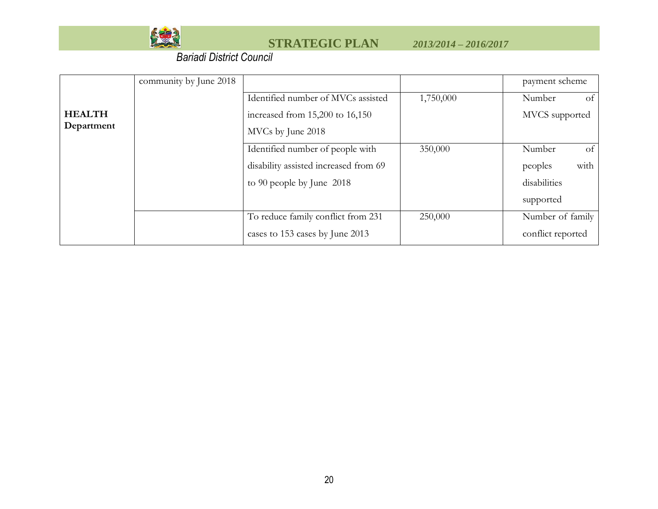

|               | community by June 2018 |                                       |           | payment scheme    |
|---------------|------------------------|---------------------------------------|-----------|-------------------|
|               |                        | Identified number of MVCs assisted    | 1,750,000 | Number<br>-ot     |
| <b>HEALTH</b> |                        | increased from 15,200 to 16,150       |           | MVCS supported    |
| Department    |                        | MVCs by June 2018                     |           |                   |
|               |                        | Identified number of people with      | 350,000   | Number<br>of      |
|               |                        | disability assisted increased from 69 |           | with<br>peoples   |
|               |                        | to 90 people by June 2018             |           | disabilities      |
|               |                        |                                       |           | supported         |
|               |                        | To reduce family conflict from 231    | 250,000   | Number of family  |
|               |                        | cases to 153 cases by June 2013       |           | conflict reported |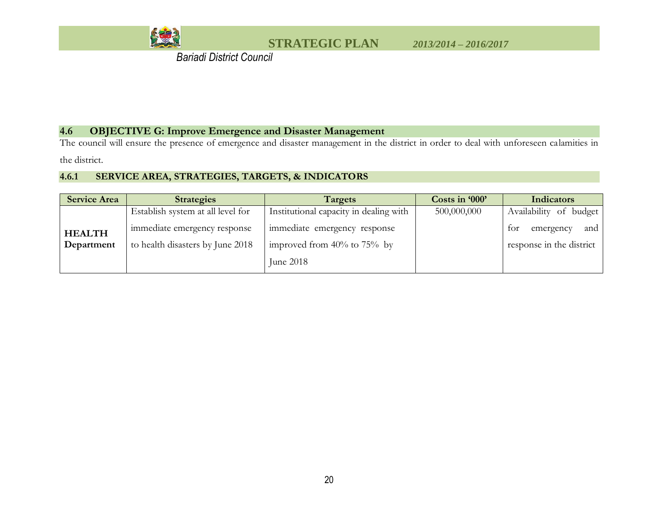

 *Bariadi District Council*

## **4.6 OBJECTIVE G: Improve Emergence and Disaster Management**

The council will ensure the presence of emergence and disaster management in the district in order to deal with unforeseen calamities in the district.

## **4.6.1 SERVICE AREA, STRATEGIES, TARGETS, & INDICATORS**

<span id="page-52-0"></span>

| <b>Service Area</b> | <b>Strategies</b>                 | Targets                                | Costs in '000' | Indicators               |
|---------------------|-----------------------------------|----------------------------------------|----------------|--------------------------|
|                     | Establish system at all level for | Institutional capacity in dealing with | 500,000,000    | Availability of budget   |
| <b>HEALTH</b>       | immediate emergency response      | immediate emergency response           |                | and<br>tor<br>emergency  |
| Department          | to health disasters by June 2018  | improved from $40\%$ to 75% by         |                | response in the district |
|                     |                                   | June 2018                              |                |                          |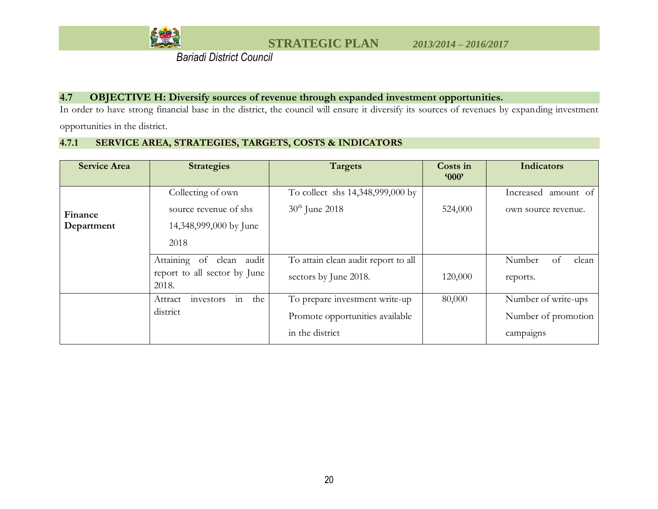

 *Bariadi District Council*

### **4.7 OBJECTIVE H: Diversify sources of revenue through expanded investment opportunities.**

In order to have strong financial base in the district, the council will ensure it diversify its sources of revenues by expanding investment

opportunities in the district.

### **4.7.1 SERVICE AREA, STRATEGIES, TARGETS, COSTS & INDICATORS**

<span id="page-53-0"></span>

| <b>Service Area</b> | <b>Strategies</b>                     | Targets                             | Costs in<br>'000' | <b>Indicators</b>      |
|---------------------|---------------------------------------|-------------------------------------|-------------------|------------------------|
|                     | Collecting of own                     | To collect shs 14,348,999,000 by    |                   | Increased<br>amount of |
| Finance             | source revenue of shs                 | $30th$ June 2018                    | 524,000           | own source revenue.    |
| Department          | 14,348,999,000 by June                |                                     |                   |                        |
|                     | 2018                                  |                                     |                   |                        |
|                     | Attaining of<br>clean audit           | To attain clean audit report to all |                   | Number<br>clean<br>οt  |
|                     | report to all sector by June<br>2018. | sectors by June 2018.               | 120,000           | reports.               |
|                     | in<br>the<br>investors<br>Attract     | To prepare investment write-up      | 80,000            | Number of write-ups    |
|                     | district                              | Promote opportunities available     |                   | Number of promotion    |
|                     |                                       | in the district                     |                   | campaigns              |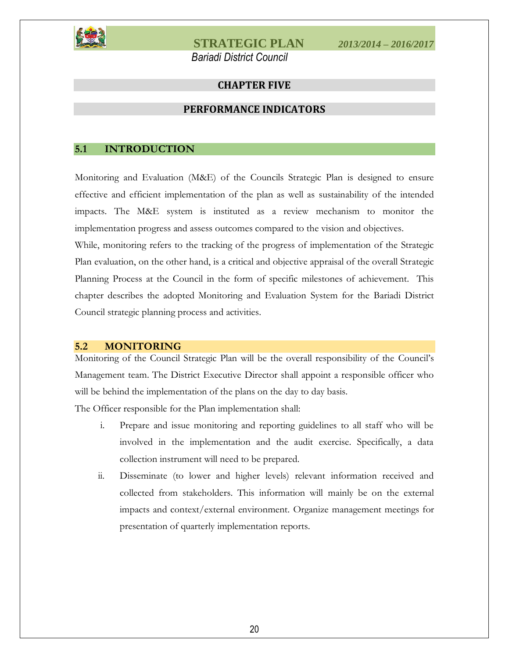<span id="page-54-0"></span>

 *Bariadi District Council*

### **CHAPTER FIVE**

#### **PERFORMANCE INDICATORS**

#### <span id="page-54-2"></span><span id="page-54-1"></span>**5.1 INTRODUCTION**

Monitoring and Evaluation (M&E) of the Councils Strategic Plan is designed to ensure effective and efficient implementation of the plan as well as sustainability of the intended impacts. The M&E system is instituted as a review mechanism to monitor the implementation progress and assess outcomes compared to the vision and objectives.

While, monitoring refers to the tracking of the progress of implementation of the Strategic Plan evaluation, on the other hand, is a critical and objective appraisal of the overall Strategic Planning Process at the Council in the form of specific milestones of achievement. This chapter describes the adopted Monitoring and Evaluation System for the Bariadi District Council strategic planning process and activities.

#### <span id="page-54-3"></span>**5.2 MONITORING**

Monitoring of the Council Strategic Plan will be the overall responsibility of the Council's Management team. The District Executive Director shall appoint a responsible officer who will be behind the implementation of the plans on the day to day basis.

The Officer responsible for the Plan implementation shall:

- i. Prepare and issue monitoring and reporting guidelines to all staff who will be involved in the implementation and the audit exercise. Specifically, a data collection instrument will need to be prepared.
- ii. Disseminate (to lower and higher levels) relevant information received and collected from stakeholders. This information will mainly be on the external impacts and context/external environment. Organize management meetings for presentation of quarterly implementation reports.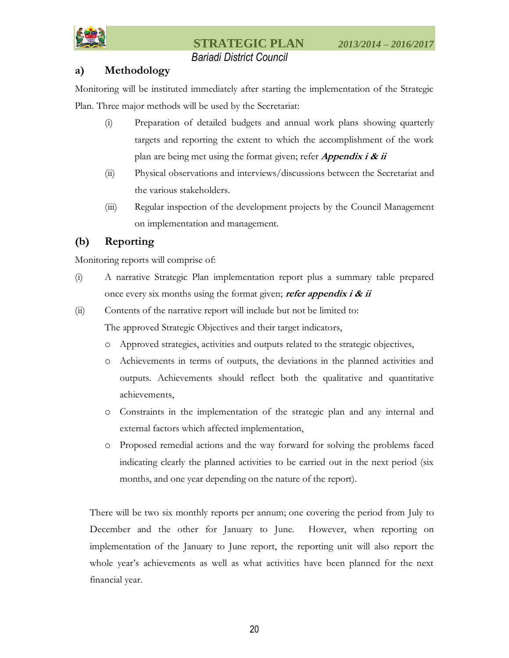

## *Bariadi District Council*

## **a) Methodology**

Monitoring will be instituted immediately after starting the implementation of the Strategic Plan. Three major methods will be used by the Secretariat:

- (i) Preparation of detailed budgets and annual work plans showing quarterly targets and reporting the extent to which the accomplishment of the work plan are being met using the format given; refer **Appendix i & ii**
- (ii) Physical observations and interviews/discussions between the Secretariat and the various stakeholders.
- (iii) Regular inspection of the development projects by the Council Management on implementation and management.

## **(b) Reporting**

Monitoring reports will comprise of:

- (i) A narrative Strategic Plan implementation report plus a summary table prepared once every six months using the format given; **refer appendix i & ii**
- (ii) Contents of the narrative report will include but not be limited to:

The approved Strategic Objectives and their target indicators,

- o Approved strategies, activities and outputs related to the strategic objectives,
- o Achievements in terms of outputs, the deviations in the planned activities and outputs. Achievements should reflect both the qualitative and quantitative achievements,
- o Constraints in the implementation of the strategic plan and any internal and external factors which affected implementation,
- o Proposed remedial actions and the way forward for solving the problems faced indicating clearly the planned activities to be carried out in the next period (six months, and one year depending on the nature of the report).

There will be two six monthly reports per annum; one covering the period from July to December and the other for January to June. However, when reporting on implementation of the January to June report, the reporting unit will also report the whole year's achievements as well as what activities have been planned for the next financial year.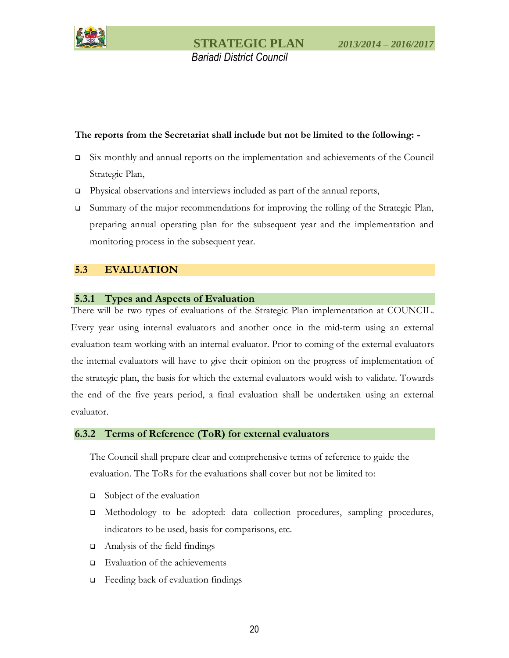

#### **The reports from the Secretariat shall include but not be limited to the following: -**

- Six monthly and annual reports on the implementation and achievements of the Council Strategic Plan,
- Physical observations and interviews included as part of the annual reports,
- $\Box$  Summary of the major recommendations for improving the rolling of the Strategic Plan, preparing annual operating plan for the subsequent year and the implementation and monitoring process in the subsequent year.

### <span id="page-56-0"></span>**5.3 EVALUATION**

#### <span id="page-56-1"></span>**5.3.1 Types and Aspects of Evaluation**

There will be two types of evaluations of the Strategic Plan implementation at COUNCIL. Every year using internal evaluators and another once in the mid-term using an external evaluation team working with an internal evaluator. Prior to coming of the external evaluators the internal evaluators will have to give their opinion on the progress of implementation of the strategic plan, the basis for which the external evaluators would wish to validate. Towards the end of the five years period, a final evaluation shall be undertaken using an external evaluator.

#### <span id="page-56-2"></span>**6.3.2 Terms of Reference (ToR) for external evaluators**

The Council shall prepare clear and comprehensive terms of reference to guide the evaluation. The ToRs for the evaluations shall cover but not be limited to:

- $\Box$  Subject of the evaluation
- Methodology to be adopted: data collection procedures, sampling procedures, indicators to be used, basis for comparisons, etc.
- $\Box$  Analysis of the field findings
- $\Box$  Evaluation of the achievements
- Feeding back of evaluation findings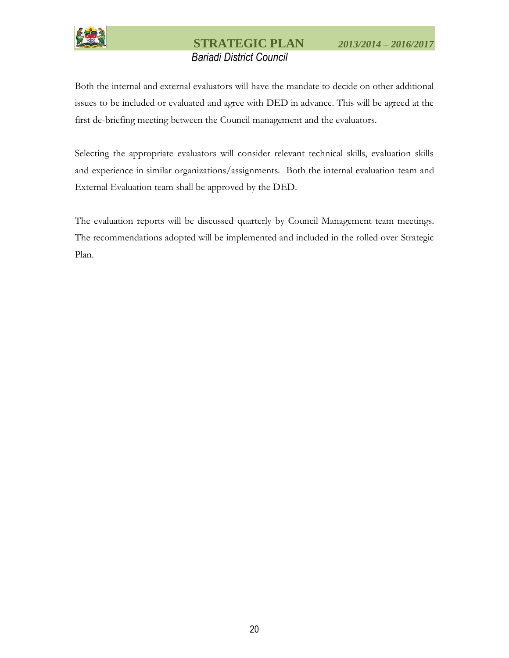

Both the internal and external evaluators will have the mandate to decide on other additional issues to be included or evaluated and agree with DED in advance. This will be agreed at the first de-briefing meeting between the Council management and the evaluators.

Selecting the appropriate evaluators will consider relevant technical skills, evaluation skills and experience in similar organizations/assignments. Both the internal evaluation team and External Evaluation team shall be approved by the DED.

The evaluation reports will be discussed quarterly by Council Management team meetings. The recommendations adopted will be implemented and included in the rolled over Strategic Plan.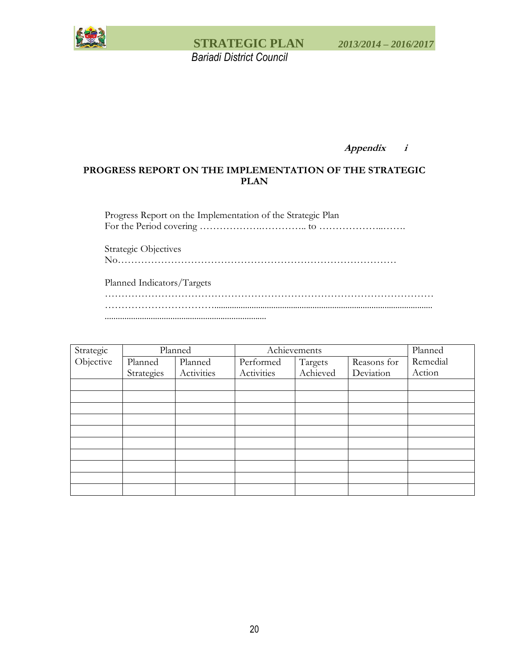

**Appendix i**

### **PROGRESS REPORT ON THE IMPLEMENTATION OF THE STRATEGIC PLAN**

Progress Report on the Implementation of the Strategic Plan For the Period covering ……………….………….. to ………………..…….

Strategic Objectives

No…………………………………………………………………………

Planned Indicators/Targets

……………………………………………………………………………………… …………………………….................................................................................................... ..........................................................................

| Strategic |            | Planned    | Achievements |          | Planned     |          |
|-----------|------------|------------|--------------|----------|-------------|----------|
| Objective | Planned    | Planned    | Performed    | Targets  | Reasons for | Remedial |
|           | Strategies | Activities | Activities   | Achieved | Deviation   | Action   |
|           |            |            |              |          |             |          |
|           |            |            |              |          |             |          |
|           |            |            |              |          |             |          |
|           |            |            |              |          |             |          |
|           |            |            |              |          |             |          |
|           |            |            |              |          |             |          |
|           |            |            |              |          |             |          |
|           |            |            |              |          |             |          |
|           |            |            |              |          |             |          |
|           |            |            |              |          |             |          |